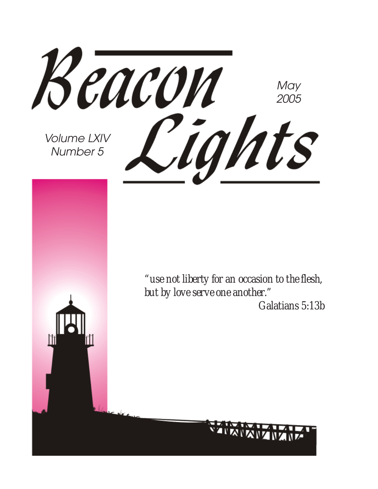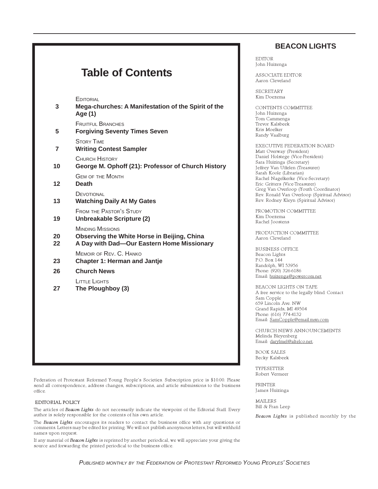#### **BEACON LIGHTS**

EDITOR John Huizenga

ASSOCIATE EDITOR Aaron Cleveland

SECRETARY Kim Doezema

CONTENTS COMMITTEE John Huizenga Tom Cammenga Trevor Kalsbeek Kris Moelker Randy Vaalburg

EXECUTIVE FEDERATION BOARD Matt Overway (President) Daniel Holstege (Vice-President) Sara Huizinga (Secretary) Jeffrey Van Uffelen (Treasurer) Sarah Koole (Librarian) Rachel Nagelkerke (Vice-Secretary) Eric Gritters (Vice-Treasurer) Greg Van Overloop (Youth Coordinator) Rev. Ronald Van Overloop (Spiritual Advisor) Rev. Rodney Kleyn (Spiritual Advisor)

PROMOTION COMMITTEE Kim Doezema Rachel Joostens

PRODUCTION COMMITTEE Aaron Cleveland

BUSINESS OFFICE Beacon Lights P.O. Box 144 Randolph, WI 53956 Phone: (920) 326-6186 Email: huizenga@powercom.net

BEACON LIGHTS ON TAPE A free service to the legally blind. Contact Sam Copple 659 Lincoln Ave. NW Grand Rapids, MI 49504 Phone: (616) 774-4132 Email: SamCopple@email.msn.com

CHURCH NEWS ANNOUNCEMENTS Melinda Bleyenberg Email: darylmel@altelco.net.

BOOK SALES Becky Kalsbeek

TYPESETTER Robert Vermeer

PRINTER James Huizinga

MAILERS Bill & Fran Leep

Beacon Lights is published monthly by the

### **Table of Contents**

**EDITORIAL** 

| 3              | Mega-churches: A Manifestation of the Spirit of the<br>Age (1)                                                       |
|----------------|----------------------------------------------------------------------------------------------------------------------|
| 5              | <b>FRUITFUL BRANCHES</b><br><b>Forgiving Seventy Times Seven</b>                                                     |
| $\overline{7}$ | <b>STORY TIME</b><br><b>Writing Contest Sampler</b>                                                                  |
| 10             | <b>CHURCH HISTORY</b><br>George M. Ophoff (21): Professor of Church History                                          |
| 12             | <b>GEM OF THE MONTH</b><br><b>Death</b>                                                                              |
| 13             | DEVOTIONAL<br><b>Watching Daily At My Gates</b>                                                                      |
| 19             | <b>FROM THE PASTOR'S STUDY</b><br>Unbreakable Scripture (2)                                                          |
| 20<br>22       | <b>MINDING MISSIONS</b><br>Observing the White Horse in Beijing, China<br>A Day with Dad-Our Eastern Home Missionary |
| 23             | MEMOIR OF REV. C. HANKO<br><b>Chapter 1: Herman and Jantje</b>                                                       |
| 26             | <b>Church News</b>                                                                                                   |
| 27             | LITTLE LIGHTS<br>The Ploughboy (3)                                                                                   |
|                |                                                                                                                      |
|                |                                                                                                                      |
|                |                                                                                                                      |
|                |                                                                                                                      |

Federation of Protestant Reformed Young People's Societies. Subscription price is \$10.00. Please send all correspondence, address changes, subscriptions, and article submissions to the business office.

#### EDITORIAL POLICY

The articles of Beacon Lights do not necessarily indicate the viewpoint of the Editorial Staff. Every author is solely responsible for the contents of his own article.

The Beacon Lights encourages its readers to contact the business office with any questions or comments. Letters may be edited for printing. We will not publish anonymous letters, but will withhold names upon request.

If any material of Beacon Lights is reprinted by another periodical, we will appreciate your giving the source and forwarding the printed periodical to the business office.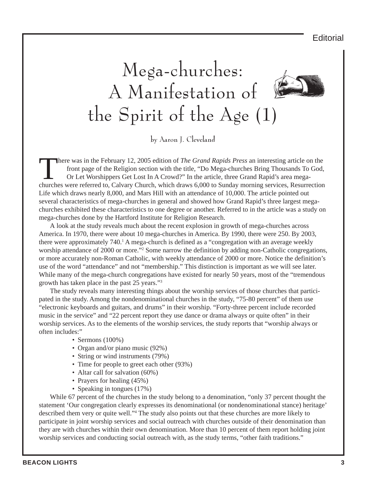**Editorial** 

# Mega-churches: A Manifestation of the Spirit of the Age (1)

by Aaron J. Cleveland

There was in the February 12, 2005 edition of *The Grand Rapids Press* an interesting article on the<br>front page of the Religion section with the title, "Do Mega-churches Bring Thousands To God.<br>Or Let Worshippers Get Lost front page of the Religion section with the title, "Do Mega-churches Bring Thousands To God, Or Let Worshippers Get Lost In A Crowd?" In the article, three Grand Rapid's area megachurches were referred to, Calvary Church, which draws 6,000 to Sunday morning services, Resurrection Life which draws nearly 8,000, and Mars Hill with an attendance of 10,000. The article pointed out several characteristics of mega-churches in general and showed how Grand Rapid's three largest megachurches exhibited these characteristics to one degree or another. Referred to in the article was a study on mega-churches done by the Hartford Institute for Religion Research.

A look at the study reveals much about the recent explosion in growth of mega-churches across America. In 1970, there were about 10 mega-churches in America. By 1990, there were 250. By 2003, there were approximately 740.<sup>1</sup> A mega-church is defined as a "congregation with an average weekly worship attendance of 2000 or more."<sup>2</sup> Some narrow the definition by adding non-Catholic congregations, or more accurately non-Roman Catholic, with weekly attendance of 2000 or more. Notice the definition's use of the word "attendance" and not "membership." This distinction is important as we will see later. While many of the mega-church congregations have existed for nearly 50 years, most of the "tremendous" growth has taken place in the past 25 years."3

The study reveals many interesting things about the worship services of those churches that participated in the study. Among the nondenominational churches in the study, "75-80 percent" of them use "electronic keyboards and guitars, and drums" in their worship. "Forty-three percent include recorded music in the service" and "22 percent report they use dance or drama always or quite often" in their worship services. As to the elements of the worship services, the study reports that "worship always or often includes:"

- Sermons (100%)
- Organ and/or piano music (92%)
- String or wind instruments (79%)
- Time for people to greet each other  $(93%)$
- Altar call for salvation (60%)
- Prayers for healing  $(45%)$
- Speaking in tongues (17%)

While 67 percent of the churches in the study belong to a denomination, "only 37 percent thought the statement 'Our congregation clearly expresses its denominational (or nondenominational stance) heritage' described them very or quite well."4 The study also points out that these churches are more likely to participate in joint worship services and social outreach with churches outside of their denomination than they are with churches within their own denomination. More than 10 percent of them report holding joint worship services and conducting social outreach with, as the study terms, "other faith traditions."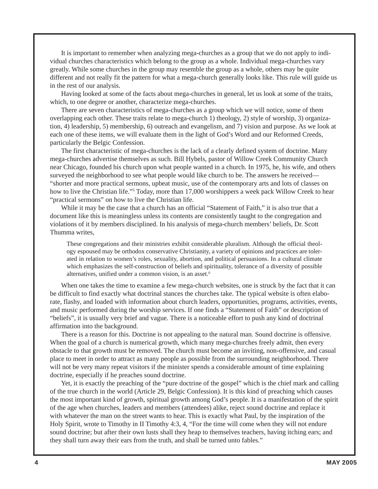It is important to remember when analyzing mega-churches as a group that we do not apply to individual churches characteristics which belong to the group as a whole. Individual mega-churches vary greatly. While some churches in the group may resemble the group as a whole, others may be quite different and not really fit the pattern for what a mega-church generally looks like. This rule will guide us in the rest of our analysis.

Having looked at some of the facts about mega-churches in general, let us look at some of the traits, which, to one degree or another, characterize mega-churches.

There are seven characteristics of mega-churches as a group which we will notice, some of them overlapping each other. These traits relate to mega-church 1) theology, 2) style of worship, 3) organization, 4) leadership, 5) membership, 6) outreach and evangelism, and 7) vision and purpose. As we look at each one of these items, we will evaluate them in the light of God's Word and our Reformed Creeds, particularly the Belgic Confession.

The first characteristic of mega-churches is the lack of a clearly defined system of doctrine. Many mega-churches advertise themselves as such. Bill Hybels, pastor of Willow Creek Community Church near Chicago, founded his church upon what people wanted in a church. In 1975, he, his wife, and others surveyed the neighborhood to see what people would like church to be. The answers he received— "shorter and more practical sermons, upbeat music, use of the contemporary arts and lots of classes on how to live the Christian life."<sup>5</sup> Today, more than 17,000 worshippers a week pack Willow Creek to hear "practical sermons" on how to live the Christian life.

While it may be the case that a church has an official "Statement of Faith," it is also true that a document like this is meaningless unless its contents are consistently taught to the congregation and violations of it by members disciplined. In his analysis of mega-church members' beliefs, Dr. Scott Thumma writes,

These congregations and their ministries exhibit considerable pluralism. Although the official theology espoused may be orthodox conservative Christianity, a variety of opinions and practices are tolerated in relation to women's roles, sexuality, abortion, and political persuasions. In a cultural climate which emphasizes the self-construction of beliefs and spirituality, tolerance of a diversity of possible alternatives, unified under a common vision, is an asset.6

When one takes the time to examine a few mega-church websites, one is struck by the fact that it can be difficult to find exactly what doctrinal stances the churches take. The typical website is often elaborate, flashy, and loaded with information about church leaders, opportunities, programs, activities, events, and music performed during the worship services. If one finds a "Statement of Faith" or description of "beliefs", it is usually very brief and vague. There is a noticeable effort to push any kind of doctrinal affirmation into the background.

There is a reason for this. Doctrine is not appealing to the natural man. Sound doctrine is offensive. When the goal of a church is numerical growth, which many mega-churches freely admit, then every obstacle to that growth must be removed. The church must become an inviting, non-offensive, and casual place to meet in order to attract as many people as possible from the surrounding neighborhood. There will not be very many repeat visitors if the minister spends a considerable amount of time explaining doctrine, especially if he preaches sound doctrine.

Yet, it is exactly the preaching of the "pure doctrine of the gospel" which is the chief mark and calling of the true church in the world (Article 29, Belgic Confession). It is this kind of preaching which causes the most important kind of growth, spiritual growth among God's people. It is a manifestation of the spirit of the age when churches, leaders and members (attendees) alike, reject sound doctrine and replace it with whatever the man on the street wants to hear. This is exactly what Paul, by the inspiration of the Holy Spirit, wrote to Timothy in II Timothy 4:3, 4, "For the time will come when they will not endure sound doctrine; but after their own lusts shall they heap to themselves teachers, having itching ears; and they shall turn away their ears from the truth, and shall be turned unto fables."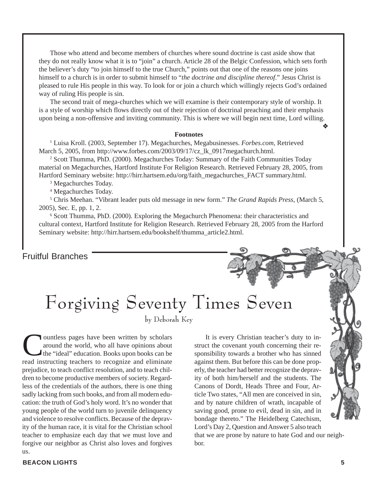Those who attend and become members of churches where sound doctrine is cast aside show that they do not really know what it is to "join" a church. Article 28 of the Belgic Confession, which sets forth the believer's duty "to join himself to the true Church," points out that one of the reasons one joins himself to a church is in order to submit himself to "*the doctrine and discipline thereof*." Jesus Christ is pleased to rule His people in this way. To look for or join a church which willingly rejects God's ordained way of ruling His people is sin.

The second trait of mega-churches which we will examine is their contemporary style of worship. It is a style of worship which flows directly out of their rejection of doctrinal preaching and their emphasis upon being a non-offensive and inviting community. This is where we will begin next time, Lord willing.

#### **Footnotes**

1 Luisa Kroll. (2003, September 17). Megachurches, Megabusinesses. *Forbes.com,* Retrieved March 5, 2005, from http://www.forbes.com/2003/09/17/cz\_lk\_0917megachurch.html.

<sup>2</sup> Scott Thumma, PhD. (2000). Megachurches Today: Summary of the Faith Communities Today material on Megachurches, Hartford Institute For Religion Research. Retrieved February 28, 2005, from Hartford Seminary website: http://hirr.hartsem.edu/org/faith\_megachurches\_FACT summary.html.

3 Megachurches Today.

4 Megachurches Today.

5 Chris Meehan. "Vibrant leader puts old message in new form." *The Grand Rapids Press*, (March 5, 2005), Sec. E, pp. 1, 2.

6 Scott Thumma, PhD. (2000). Exploring the Megachurch Phenomena: their characteristics and cultural context, Hartford Institute for Religion Research. Retrieved February 28, 2005 from the Harford Seminary website: http://hirr.hartsem.edu/bookshelf/thumma\_article2.html.

#### Fruitful Branches

## Forgiving Seventy Times Seven

by Deborah Key

**Countless pages have been written by scholars<br>around the world, who all have opinions about<br>the "ideal" education. Books upon books can be<br>read instructing teachers to recognize and eliminate** around the world, who all have opinions about the "ideal" education. Books upon books can be read instructing teachers to recognize and eliminate prejudice, to teach conflict resolution, and to teach children to become productive members of society. Regardless of the credentials of the authors, there is one thing sadly lacking from such books, and from all modern education: the truth of God's holy word. It's no wonder that young people of the world turn to juvenile delinquency and violence to resolve conflicts. Because of the depravity of the human race, it is vital for the Christian school teacher to emphasize each day that we must love and forgive our neighbor as Christ also loves and forgives us.

It is every Christian teacher's duty to instruct the covenant youth concerning their responsibility towards a brother who has sinned against them. But before this can be done properly, the teacher had better recognize the depravity of both him/herself and the students. The Canons of Dordt, Heads Three and Four, Article Two states, "All men are conceived in sin, and by nature children of wrath, incapable of saving good, prone to evil, dead in sin, and in bondage thereto." The Heidelberg Catechism, Lord's Day 2, Question and Answer 5 also teach

that we are prone by nature to hate God and our neighbor.

❖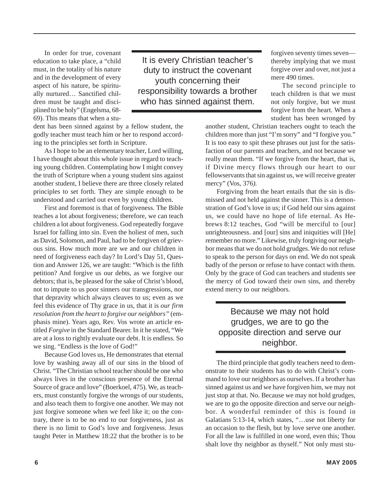In order for true, covenant education to take place, a "child must, in the totality of his nature and in the development of every aspect of his nature, be spiritually nurtured… Sanctified children must be taught and disciplined to be holy" (Engelsma, 68- 69). This means that when a stu-

dent has been sinned against by a fellow student, the godly teacher must teach him or her to respond according to the principles set forth in Scripture.

As I hope to be an elementary teacher, Lord willing, I have thought about this whole issue in regard to teaching young children. Contemplating how I might convey the truth of Scripture when a young student sins against another student, I believe there are three closely related principles to set forth. They are simple enough to be understood and carried out even by young children.

First and foremost is that of forgiveness. The Bible teaches a lot about forgiveness; therefore, we can teach children a lot about forgiveness. God repeatedly forgave Israel for falling into sin. Even the holiest of men, such as David, Solomon, and Paul, had to be forgiven of grievous sins. How much more are we and our children in need of forgiveness each day? In Lord's Day 51, Question and Answer 126, we are taught: "Which is the fifth petition? And forgive us our debts, as we forgive our debtors; that is, be pleased for the sake of Christ's blood, not to impute to us poor sinners our transgressions, nor that depravity which always cleaves to us; even as we feel this evidence of Thy grace in us, that it is *our firm resolution from the heart to forgive our neighbors"* (emphasis mine). Years ago, Rev. Vos wrote an article entitled *Forgive* in the Standard Bearer. In it he stated, "We are at a loss to rightly evaluate our debt. It is endless. So we sing. "Endless is the love of God!"

Because God loves us, He demonstrates that eternal love by washing away all of our sins in the blood of Christ. "The Christian school teacher should be one who always lives in the conscious presence of the Eternal Source of grace and love" (Boerkoel, 475). We, as teachers, must constantly forgive the wrongs of our students, and also teach them to forgive one another. We may not just forgive someone when we feel like it; on the contrary, there is to be no end to our forgiveness, just as there is no limit to God's love and forgiveness. Jesus taught Peter in Matthew 18:22 that the brother is to be

It is every Christian teacher's duty to instruct the covenant youth concerning their responsibility towards a brother who has sinned against them.

forgiven seventy times seven thereby implying that we must forgive over and over, not just a mere 490 times.

The second principle to teach children is that we must not only forgive, but we must forgive from the heart. When a student has been wronged by

another student, Christian teachers ought to teach the children more than just "I'm sorry" and "I forgive you." It is too easy to spit these phrases out just for the satisfaction of our parents and teachers, and not because we really mean them. "If we forgive from the heart, that is, if Divine mercy flows through our heart to our fellowservants that sin against us, we will receive greater mercy" (Vos, 376*).*

Forgiving from the heart entails that the sin is dismissed and not held against the sinner. This is a demonstration of God's love in us; if God held our sins against us, we could have no hope of life eternal. As Hebrews 8:12 teaches, God "will be merciful to [our] unrighteousness. and [our] sins and iniquities will [He] remember no more." Likewise, truly forgiving our neighbor means that we do not hold grudges. We do not refuse to speak to the person for days on end. We do not speak badly of the person or refuse to have contact with them. Only by the grace of God can teachers and students see the mercy of God toward their own sins, and thereby extend mercy to our neighbors.

#### Because we may not hold grudges, we are to go the opposite direction and serve our neighbor.

The third principle that godly teachers need to demonstrate to their students has to do with Christ's command to love our neighbors as ourselves. If a brother has sinned against us and we have forgiven him, we may not just stop at that. No. Because we may not hold grudges, we are to go the opposite direction and serve our neighbor. A wonderful reminder of this is found in Galatians 5:13-14, which states, "…use not liberty for an occasion to the flesh, but by love serve one another. For all the law is fulfilled in one word, even this; Thou shalt love thy neighbor as thyself." Not only must stu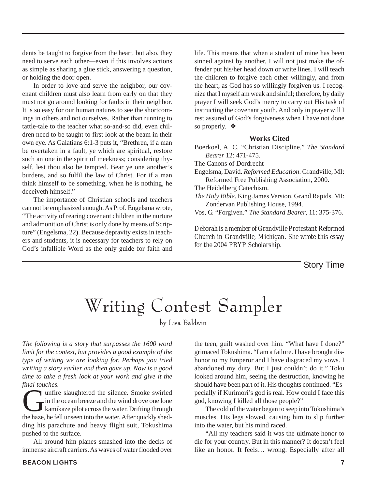dents be taught to forgive from the heart, but also, they need to serve each other—even if this involves actions as simple as sharing a glue stick, answering a question, or holding the door open.

In order to love and serve the neighbor, our covenant children must also learn from early on that they must not go around looking for faults in their neighbor. It is so easy for our human natures to see the shortcomings in others and not ourselves. Rather than running to tattle-tale to the teacher what so-and-so did, even children need to be taught to first look at the beam in their own eye. As Galatians 6:1-3 puts it, "Brethren, if a man be overtaken in a fault, ye which are spiritual, restore such an one in the spirit of meekness; considering thyself, lest thou also be tempted. Bear ye one another's burdens, and so fulfil the law of Christ. For if a man think himself to be something, when he is nothing, he deceiveth himself."

The importance of Christian schools and teachers can not be emphasized enough. As Prof. Engelsma wrote, "The activity of rearing covenant children in the nurture and admonition of Christ is only done by means of Scripture" (Engelsma, 22). Because depravity exists in teachers and students, it is necessary for teachers to rely on God's infallible Word as the only guide for faith and life. This means that when a student of mine has been sinned against by another, I will not just make the offender put his/her head down or write lines. I will teach the children to forgive each other willingly, and from the heart, as God has so willingly forgiven us. I recognize that I myself am weak and sinful; therefore, by daily prayer I will seek God's mercy to carry out His task of instructing the covenant youth. And only in prayer will I rest assured of God's forgiveness when I have not done so properly. ❖

#### **Works Cited**

Boerkoel, A. C. "Christian Discipline." *The Standard Bearer* 12: 471-475.

The Canons of Dordrecht

Engelsma, David. *Reformed Education*. Grandville, MI: Reformed Free Publishing Association, 2000.

The Heidelberg Catechism.

*The Holy Bible*. King James Version. Grand Rapids. MI: Zondervan Publishing House, 1994.

Vos, G. "Forgiven." *The Standard Bearer*, 11: 375-376. *\_\_\_\_\_\_\_\_\_\_\_\_\_\_\_\_\_\_\_\_\_\_\_\_\_\_\_\_\_\_\_\_\_\_\_\_\_\_\_\_\_\_\_\_\_\_\_\_*

*Deborah is a member of Grandville Protestant Reformed Church in Grandville, Michigan. She wrote this essay for the 2004 PRYP Scholarship.*

Story Time

### Writing Contest Sampler

by Lisa Baldwin

*The following is a story that surpasses the 1600 word limit for the contest, but provides a good example of the type of writing we are looking for. Perhaps you tried writing a story earlier and then gave up. Now is a good time to take a fresh look at your work and give it the final touches.*

unfire slaughtered the silence. Smoke swirled in the ocean breeze and the wind drove one lone kamikaze pilot across the water. Drifting through the haze, he fell unseen into the water. After quickly shedding his parachute and heavy flight suit, Tokushima pushed to the surface.

All around him planes smashed into the decks of immense aircraft carriers. As waves of water flooded over the teen, guilt washed over him. "What have I done?" grimaced Tokushima. "I am a failure. I have brought dishonor to my Emperor and I have disgraced my vows. I abandoned my duty. But I just couldn't do it." Toku looked around him, seeing the destruction, knowing he should have been part of it. His thoughts continued. "Especially if Kurimori's god is real. How could I face this god, knowing I killed all those people?"

The cold of the water began to seep into Tokushima's muscles. His legs slowed, causing him to slip further into the water, but his mind raced.

"All my teachers said it was the ultimate honor to die for your country. But in this manner? It doesn't feel like an honor. It feels… wrong. Especially after all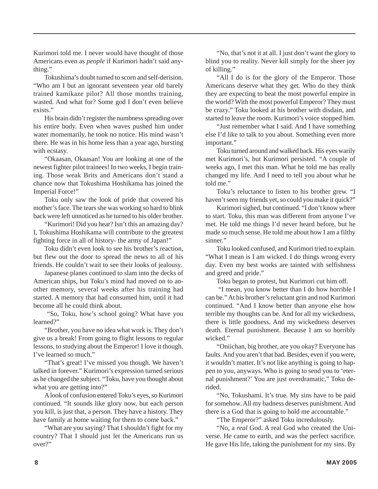Kurimori told me. I never would have thought of those Americans even as *people* if Kurimori hadn't said anything."

Tokushima's doubt turned to scorn and self-derision. "Who am I but an ignorant seventeen year old barely trained kamikaze pilot? All those months training, wasted. And what for? Some god I don't even believe exists."

His brain didn't register the numbness spreading over his entire body. Even when waves pushed him under water momentarily, he took no notice. His mind wasn't there. He was in his home less than a year ago, bursting with ecstasy.

"Okaasan, Okaasan! You are looking at one of the newest fighter pilot trainees! In two weeks, I begin training. Those weak Brits and Americans don't stand a chance now that Tokushima Hoshikama has joined the Imperial Force!"

Toku only saw the look of pride that covered his mother's face. The tears she was working so hard to blink back were left unnoticed as he turned to his older brother.

"Kurimori! Did you hear? Isn't this an amazing day? I, Tokushima Hoshikama will contribute to the greatest fighting force in all of history- the army of Japan!"

Toku didn't even look to see his brother's reaction, but flew out the door to spread the news to all of his friends. He couldn't wait to see their looks of jealousy.

Japanese planes continued to slam into the decks of American ships, but Toku's mind had moved on to another memory, several weeks after his training had started. A memory that had consumed him, until it had become all he could think about.

 "So, Toku, how's school going? What have you learned?"

"Brother, you have no idea what work is. They don't give us a break! From going to flight lessons to regular lessons, to studying about the Emperor! I love it though. I've learned so much."

"That's great! I've missed you though. We haven't talked in forever." Kurimori's expression turned serious as he changed the subject. "Toku, have you thought about what you are getting into?"

A look of confusion entered Toku's eyes, so Kurimori continued. "It sounds like glory now, but each person you kill, is just that, a person. They have a history. They have family at home waiting for them to come back."

"What are you saying? That I shouldn't fight for my country? That I should just let the Americans run us over?"

"No, that's not it at all. I just don't want the glory to blind you to reality. Never kill simply for the sheer joy of killing."

"All I do is for the glory of the Emperor. Those Americans deserve what they get. Who do they think they are expecting to beat the most powerful empire in the world? With the most powerful Emperor? They must be crazy." Toku looked at his brother with disdain, and started to leave the room. Kurimori's voice stopped him.

"Just remember what I said. And I have something else I'd like to talk to you about. Something even more important."

Toku turned around and walked back. His eyes warily met Kurimori's, but Kurimori persisted. "A couple of weeks ago, I met this man. What he told me has really changed my life. And I need to tell you about what he told me."

Toku's reluctance to listen to his brother grew. "I haven't seen my friends yet, so could you make it quick?"

Kurimori sighed, but continued. "I don't know where to start. Toku, this man was different from anyone I've met. He told me things I'd never heard before, but he made so much sense. He told me about how I am a filthy sinner."

Toku looked confused, and Kurimori tried to explain. "What I mean is I am wicked. I do things wrong every day. Even my best works are tainted with selfishness and greed and pride."

Toku began to protest, but Kurimori cut him off.

 "I mean, you know better than I do how horrible I can be." At his brother's reluctant grin and nod Kurimori continued. "And I know better than anyone else how terrible my thoughts can be. And for all my wickedness, there is little goodness. And my wickedness deserves death. Eternal punishment. Because I am so horribly wicked."

"Oniichan, big brother, are you okay? Everyone has faults. And you aren't that bad. Besides, even if you were, it wouldn't matter. It's not like anything is going to happen to you, anyways. Who is going to send you to 'eternal punishment?' You are just overdramatic," Toku derided.

"No, Tokushami. It's true. My sins have to be paid for somehow. All my badness deserves punishment. And there is a God that is going to hold me accountable."

"The Emperor?" asked Toku incredulously.

"No, a *real* God. A real God who created the Universe. He came to earth, and was the perfect sacrifice. He gave His life, taking the punishment for my sins. By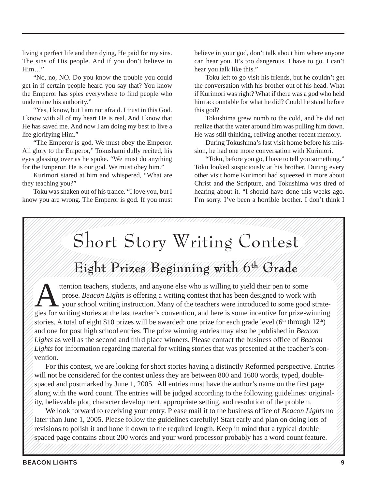living a perfect life and then dying, He paid for my sins. The sins of His people. And if you don't believe in Him…"

"No, no, NO. Do you know the trouble you could get in if certain people heard you say that? You know the Emperor has spies everywhere to find people who undermine his authority."

"Yes, I know, but I am not afraid. I trust in this God. I know with all of my heart He is real. And I know that He has saved me. And now I am doing my best to live a life glorifying Him."

"The Emperor is god. We must obey the Emperor. All glory to the Emperor," Tokushami dully recited, his eyes glassing over as he spoke. "We must do anything for the Emperor. He is our god. We must obey him."

Kurimori stared at him and whispered, "What are they teaching you?"

Toku was shaken out of his trance. "I love you, but I know you are wrong. The Emperor is god. If you must believe in your god, don't talk about him where anyone can hear you. It's too dangerous. I have to go. I can't hear you talk like this."

Toku left to go visit his friends, but he couldn't get the conversation with his brother out of his head. What if Kurimori was right? What if there was a god who held him accountable for what he did? Could he stand before this god?

Tokushima grew numb to the cold, and he did not realize that the water around him was pulling him down. He was still thinking, reliving another recent memory.

During Tokushima's last visit home before his mission, he had one more conversation with Kurimori.

"Toku, before you go, I have to tell you something." Toku looked suspiciously at his brother. During every other visit home Kurimori had squeezed in more about Christ and the Scripture, and Tokushima was tired of hearing about it. "I should have done this weeks ago. I'm sorry. I've been a horrible brother. I don't think I

#### 123456789012345678901234567890121234567890123456789012345678901212345678901234567890123456789012123 123456789012345678901234567890121234567890123456789012345678901212345678901234567890123456789012123 Short Story Writing Contest 1 3 123456789012345678901234567890121234567890123456789012345678901212345678901234567890123456789012123 Hall Eight Prizes Beginning with 6th Grade

1 3  $1311$ 

123456789012345678901234567890121234567890123456789012345678901212345678901234567890123456789012123 123456789012345678901234567890121234567890123456789012345678901212345678901234567890123456789012123 123456789012345678901234567890121234567890123456789012345678901212345678901234567890123456789012123

prose. *Beacon Lights* is offering a writing contest that has been designed to work<br>your school writing instruction. Many of the teachers were introduced to some g<br>writing at this last teacher's convention, and have is som stories. A total of eight \$10 prizes will be awarded: one prize for each grade level ( $6<sup>th</sup>$  through  $12<sup>th</sup>$ )  $1/12$  **1** the theory of the sector of the students and anyone else who is willing to vield their pen to some 123456789012345678901234567890121234567890123456789012345678901212345678901234567890123456789012123  $1/2$  **1 3** arose *Reacon Lights* is offering a writing contest that has been designed to work with  $\frac{1}{4}$ 123456789012345678901234567890121234567890123456789012345678901212345678901234567890123456789012123  $\mathbb{Z}$   $\blacksquare$  your school writing instruction. Many of the teachers were introduced to some good strate- $\mathbb{Z}/\mathbb{Z}$  gies for writing stories at the last teacher's convention, and here is some incentive for prize-winning  $\mathbb{Z}/\mathbb{Z}$ 123456789012345678901234567890121234567890123456789012345678901212345678901234567890123456789012123  $\mathbb{Z}/\mathbb{Z}$  and one for post high school entries. The prize winning entries may also be published in *Beacon*  $\mathbb{Z}/\mathbb{Z}$  $\mathcal{U}/Lights$  as well as the second and third place winners. Please contact the business office of *Beacon*  $\mathcal{U}/\mathcal{L}$ ights for information regarding material for writing stories that was presented at the teacher's con-123456789012345678901234567890121234567890123456789012345678901212345678901234567890123456789012123 123456789012345678901234567890121234567890123456789012345678901212345678901234567890123456789012123  $133$ ttention teachers, students, and anyone else who is willing to yield their pen to some<br>prose. *Beacon Lights* is offering a writing contest that has been designed to work w<br>your school writing instruction. Many of the teac prose. *Beacon Lights* is offering a writing contest that has been designed to work with vention.

**Example 15** For this contest, we are looking for short stories having a distinctly Reformed perspective. Entries  $\oslash$  $133$  $\mathbb{Z}/\mathbb{Z}$  will not be considered for the contest unless they are between 800 and 1600 words, typed, double- $\mathcal{U}$  spaced and postmarked by June 1, 2005. All entries must have the author's name on the first page  $\mathcal{U}$ 1 3  $\mathbb{Z}/\mathbb{Z}$  along with the word count. The entries will be judged according to the following guidelines: original-  $\mathbb{Z}/\mathbb{Z}$ 123456789012345678901234567890121234567890123456789012345678901212345678901234567890123456789012123  $\mathcal{U}$  ity, believable plot, character development, appropriate setting, and resolution of the problem.

We look forward to receiving your entry. Please mail it to the business office of *Beacon Lights* no  $\mathbb{Z}$  $\mathbb{Z}/\mathbb{Z}$  later than June 1, 2005. Please follow the guidelines carefully! Start early and plan on doing lots of  $\mathbb{Z}/\mathbb{Z}$ 123456789012345678901234567890121234567890123456789012345678901212345678901234567890123456789012123  $\mathbb{Z}$  revisions to polish it and hone it down to the required length. Keep in mind that a typical double  $\mathbb{Z}$ 123456789012345678901234567890121234567890123456789012345678901212345678901234567890123456789012123  $\mathcal{W}$  spaced page contains about 200 words and your word processor probably has a word count feature.  $\mathcal{W}$ 

 $13111$ 123456789012345678901234567890121234567890123456789012345678901212345678901234567890123456789012123 123456789012345678901234567890121234567890123456789012345678901212345678901234567890123456789012123 123456789012345678901234567890121234567890123456789012345678901212345678901234567890123456789012123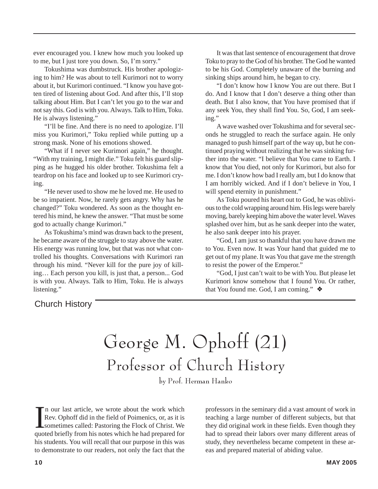ever encouraged you. I knew how much you looked up to me, but I just tore you down. So, I'm sorry."

Tokushima was dumbstruck. His brother apologizing to him? He was about to tell Kurimori not to worry about it, but Kurimori continued. "I know you have gotten tired of listening about God. And after this, I'll stop talking about Him. But I can't let you go to the war and not say this. God is with you. Always. Talk to Him, Toku. He is always listening."

"I'll be fine. And there is no need to apologize. I'll miss you Kurimori," Toku replied while putting up a strong mask. None of his emotions showed.

"What if I never see Kurimori again," he thought. "With my training, I might die." Toku felt his guard slipping as he hugged his older brother. Tokushima felt a teardrop on his face and looked up to see Kurimori crying.

"He never used to show me he loved me. He used to be so impatient. Now, he rarely gets angry. Why has he changed?" Toku wondered. As soon as the thought entered his mind, he knew the answer. "That must be some god to actually change Kurimori."

As Tokushima's mind was drawn back to the present, he became aware of the struggle to stay above the water. His energy was running low, but that was not what controlled his thoughts. Conversations with Kurimori ran through his mind. "Never kill for the pure joy of killing… Each person you kill, is just that, a person... God is with you. Always. Talk to Him, Toku. He is always listening."

It was that last sentence of encouragement that drove Toku to pray to the God of his brother. The God he wanted to be his God. Completely unaware of the burning and sinking ships around him, he began to cry.

"I don't know how I know You are out there. But I do. And I know that I don't deserve a thing other than death. But I also know, that You have promised that if any seek You, they shall find You. So, God, I am seeking."

A wave washed over Tokushima and for several seconds he struggled to reach the surface again. He only managed to push himself part of the way up, but he continued praying without realizing that he was sinking further into the water. "I believe that You came to Earth. I know that You died, not only for Kurimori, but also for me. I don't know how bad I really am, but I do know that I am horribly wicked. And if I don't believe in You, I will spend eternity in punishment."

As Toku poured his heart out to God, he was oblivious to the cold wrapping around him. His legs were barely moving, barely keeping him above the water level. Waves splashed over him, but as he sank deeper into the water, he also sank deeper into his prayer.

"God, I am just so thankful that you have drawn me to You. Even now. It was Your hand that guided me to get out of my plane. It was You that gave me the strength to resist the power of the Emperor."

"God, I just can't wait to be with You. But please let Kurimori know somehow that I found You. Or rather, that You found me. God, I am coming." ❖

#### Church History

George M. Ophoff (21) Professor of Church History

by Prof. Herman Hanko

In our last article, we wrote about the work which<br>Rev. Ophoff did in the field of Poimenics, or, as it is<br>sometimes called: Pastoring the Flock of Christ. We<br>quoted briefly from his notes which he had prepared for n our last article, we wrote about the work which Rev. Ophoff did in the field of Poimenics, or, as it is sometimes called: Pastoring the Flock of Christ. We his students. You will recall that our purpose in this was to demonstrate to our readers, not only the fact that the

professors in the seminary did a vast amount of work in teaching a large number of different subjects, but that they did original work in these fields. Even though they had to spread their labors over many different areas of study, they nevertheless became competent in these areas and prepared material of abiding value.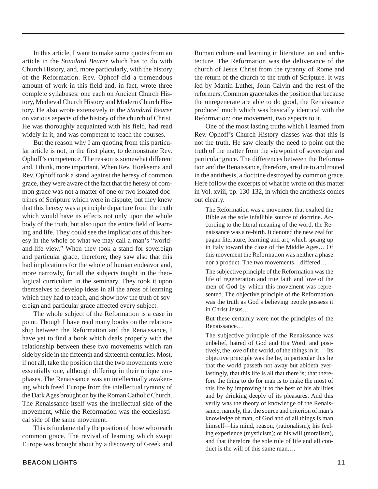In this article, I want to make some quotes from an article in the *Standard Bearer* which has to do with Church History, and, more particularly, with the history of the Reformation. Rev. Ophoff did a tremendous amount of work in this field and, in fact, wrote three complete syllabuses: one each on Ancient Church History, Medieval Church History and Modern Church History. He also wrote extensively in the *Standard Bearer* on various aspects of the history of the church of Christ. He was thoroughly acquainted with his field, had read widely in it, and was competent to teach the courses.

But the reason why I am quoting from this particular article is not, in the first place, to demonstrate Rev. Ophoff's competence. The reason is somewhat different and, I think, more important. When Rev. Hoeksema and Rev. Ophoff took a stand against the heresy of common grace, they were aware of the fact that the heresy of common grace was not a matter of one or two isolated doctrines of Scripture which were in dispute; but they knew that this heresy was a principle departure from the truth which would have its effects not only upon the whole body of the truth, but also upon the entire field of learning and life. They could see the implications of this heresy in the whole of what we may call a man's "worldand-life view." When they took a stand for sovereign and particular grace, therefore, they saw also that this had implications for the whole of human endeavor and, more narrowly, for all the subjects taught in the theological curriculum in the seminary. They took it upon themselves to develop ideas in all the areas of learning which they had to teach, and show how the truth of sovereign and particular grace affected every subject.

The whole subject of the Reformation is a case in point. Though I have read many books on the relationship between the Reformation and the Renaissance, I have yet to find a book which deals properly with the relationship between these two movements which ran side by side in the fifteenth and sixteenth centuries. Most, if not all, take the position that the two movements were essentially one, although differing in their unique emphases. The Renaissance was an intellectually awakening which freed Europe from the intellectual tyranny of the Dark Ages brought on by the Roman Catholic Church. The Renaissance itself was the intellectual side of the movement, while the Reformation was the ecclesiastical side of the same movement.

This is fundamentally the position of those who teach common grace. The revival of learning which swept Europe was brought about by a discovery of Greek and

Roman culture and learning in literature, art and architecture. The Reformation was the deliverance of the church of Jesus Christ from the tyranny of Rome and the return of the church to the truth of Scripture. It was led by Martin Luther, John Calvin and the rest of the reformers. Common grace takes the position that because the unregenerate are able to do good, the Renaissance produced much which was basically identical with the Reformation: one movement, two aspects to it.

One of the most lasting truths which I learned from Rev. Ophoff's Church History classes was that this is not the truth. He saw clearly the need to point out the truth of the matter from the viewpoint of sovereign and particular grace. The differences between the Reformation and the Renaissance, therefore, are due to and rooted in the antithesis, a doctrine destroyed by common grace. Here follow the excerpts of what he wrote on this matter in Vol. xviii, pp. 130-132, in which the antithesis comes out clearly.

The Reformation was a movement that exalted the Bible as the sole infallible source of doctrine. According to the literal meaning of the word, the Renaissance was a re-birth. It denoted the new zeal for pagan literature, learning and art, which sprang up in Italy toward the close of the Middle Ages… Of this movement the Reformation was neither a phase nor a product. The two movements…differed…

The subjective principle of the Reformation was the life of regeneration and true faith and love of the men of God by which this movement was represented. The objective principle of the Reformation was the truth as God's believing people possess it in Christ Jesus…

But these certainly were not the principles of the Renaissance…

The subjective principle of the Renaissance was unbelief, hatred of God and His Word, and positively, the love of the world, of the things in it…. Its objective principle was the lie, in particular this lie that the world passeth not away but abideth everlastingly, that this life is all that there is; that therefore the thing to do for man is to make the most of this life by improving it to the best of his abilities and by drinking deeply of its pleasures. And this verily was the theory of knowledge of the Renaissance, namely, that the source and criterion of man's knowledge of man, of God and of all things is man himself—his mind, reason, (rationalism); his feeling experience (mysticism); or his will (moralism), and that therefore the sole rule of life and all conduct is the will of this same man….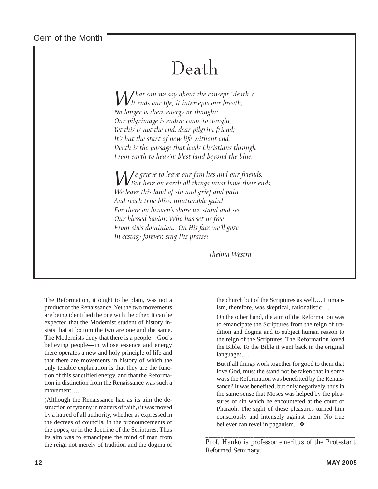Gem of the Month

## Death

 $\mathcal{W}$  hat can we say about the concept "death"?<br>No lower is them were enthurchted: No longer is there energy or thought; Our pilgrimage is ended: come to naught. Yet this is not the end, dear pilgrim friend; It's but the start of new life without end. Death is the passage that leads Christians through From earth to heav'n: blest land beyond the blue.

 $\mathcal{W}$ e grieve to leave our fam'lies and our friends,<br>We have their on earth all things must have their ends. We leave this land of sin and grief and pain And reach true bliss: unutterable gain! For there on heaven's shore we stand and see Our blessed Savior, Who has set us free From sin's dominion. On His face we'll gaze In ecstasy forever, sing His praise!

Thelma Westra

The Reformation, it ought to be plain, was not a product of the Renaissance. Yet the two movements are being identified the one with the other. It can be expected that the Modernist student of history insists that at bottom the two are one and the same. The Modernists deny that there is a people—God's believing people—in whose essence and energy there operates a new and holy principle of life and that there are movements in history of which the only tenable explanation is that they are the function of this sanctified energy, and that the Reformation in distinction from the Renaissance was such a movement….

(Although the Renaissance had as its aim the destruction of tyranny in matters of faith,) it was moved by a hatred of all authority, whether as expressed in the decrees of councils, in the pronouncements of the popes, or in the doctrine of the Scriptures. Thus its aim was to emancipate the mind of man from the reign not merely of tradition and the dogma of

the church but of the Scriptures as well…. Humanism, therefore, was skeptical, rationalistic….

On the other hand, the aim of the Reformation was to emancipate the Scriptures from the reign of tradition and dogma and to subject human reason to the reign of the Scriptures. The Reformation loved the Bible. To the Bible it went back in the original languages….

But if all things work together for good to them that love God, must the stand not be taken that in some ways the Reformation was benefitted by the Renaissance? It was benefited, but only negatively, thus in the same sense that Moses was helped by the pleasures of sin which he encountered at the court of Pharaoh. The sight of these pleasures turned him consciously and intensely against them. No true believer can revel in paganism. ❖

*\_\_\_\_\_\_\_\_\_\_\_\_\_\_\_\_\_\_\_\_\_\_\_\_\_\_\_\_\_\_\_\_\_\_\_\_\_\_\_\_\_\_\_\_\_\_\_\_\_\_ Prof. Hanko is professor emeritus of the Protestant Reformed Seminary.*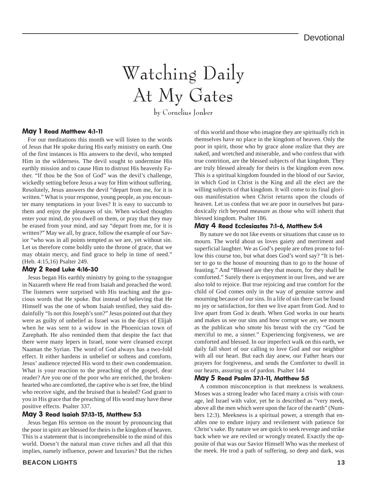# Watching Daily At My Gates

by Cornelius Jonker

#### May 1 Read Matthew 4:1-11

For our meditations this month we will listen to the words of Jesus that He spoke during His early ministry on earth. One of the first instances is His answers to the devil, who tempted Him in the wilderness. The devil sought to undermine His earthly mission and to cause Him to distrust His heavenly Father. "If thou be the Son of God" was the devil's challenge, wickedly setting before Jesus a way for Him without suffering. Resolutely, Jesus answers the devil "depart from me, for it is written." What is your response, young people, as you encounter many temptations in your lives? It is easy to succumb to them and enjoy the pleasures of sin. When wicked thoughts enter your mind, do you dwell on them, or pray that they may be erased from your mind, and say "depart from me, for it is written?" May we all, by grace, follow the example of our Savior "who was in all points tempted as we are, yet without sin. Let us therefore come boldly unto the throne of grace, that we may obtain mercy, and find grace to help in time of need." (Heb. 4:15,16) Psalter 249.

#### May 2 Read Luke 4:16-30

Jesus began His earthly ministry by going to the synagogue in Nazareth where He read from Isaiah and preached the word. The listeners were surprised with His teaching and the gracious words that He spoke. But instead of believing that He Himself was the one of whom Isaiah testified, they said disdainfully "Is not this Joseph's son?" Jesus pointed out that they were as guilty of unbelief as Israel was in the days of Elijah when he was sent to a widow in the Phoenician town of Zarephath. He also reminded them that despite the fact that there were many lepers in Israel, none were cleansed except Naaman the Syrian. The word of God always has a two-fold effect. It either hardens in unbelief or softens and comforts. Jesus' audience rejected His word to their own condemnation. What is your reaction to the preaching of the gospel, dear reader? Are you one of the poor who are enriched, the brokenhearted who are comforted, the captive who is set free, the blind who receive sight, and the bruised that is healed? God grant to you in His grace that the preaching of His word may have these positive effects. Psalter 337.

#### May 3 Read Isaiah 57:13-15, Matthew 5:3

Jesus began His sermon on the mount by pronouncing that the poor in spirit are blessed for theirs is the kingdom of heaven. This is a statement that is incomprehensible to the mind of this world. Doesn't the natural man crave riches and all that this implies, namely influence, power and luxuries? But the riches

of this world and those who imagine they are spiritually rich in themselves have no place in the kingdom of heaven. Only the poor in spirit, those who by grace alone realize that they are naked, and wretched and miserable, and who confess that with true contrition, are the blessed subjects of that kingdom. They are truly blessed already for theirs is the kingdom even now. This is a spiritual kingdom founded in the blood of our Savior, in which God in Christ is the King and all the elect are the willing subjects of that kingdom. It will come to its final glorious manifestation when Christ returns upon the clouds of heaven. Let us confess that we are poor in ourselves but paradoxically rich beyond measure as those who will inherit that blessed kingdom. Psalter 186.

#### May 4 Read Ecclesiastes 7:1-6, Matthew 5:4

By nature we do not like events or situations that cause us to mourn. The world about us loves gaiety and merriment and superficial laughter. We as God's people are often prone to follow this course too, but what does God's word say? "It is better to go to the house of mourning than to go to the house of feasting." And "Blessed are they that mourn, for they shall be comforted." Surely there is enjoyment in our lives, and we are also told to rejoice. But true rejoicing and true comfort for the child of God comes only in the way of genuine sorrow and mourning because of our sins. In a life of sin there can be found no joy or satisfaction, for then we live apart from God. And to live apart from God is death. When God works in our hearts and makes us see our sins and how corrupt we are, we mourn as the publican who smote his breast with the cry "God be merciful to me, a sinner." Experiencing forgiveness, we are comforted and blessed. In our imperfect walk on this earth, we daily fall short of our calling to love God and our neighbor with all our heart. But each day anew, our Father hears our prayers for forgiveness, and sends the Comforter to dwell in our hearts, assuring us of pardon. Psalter 144

#### May 5 Read Psalm 37:1-11, Matthew 5:5

A common misconception is that meekness is weakness. Moses was a strong leader who faced many a crisis with courage, led Israel with valor, yet he is described as "very meek, above all the men which were upon the face of the earth" (Numbers 12:3). Meekness is a spiritual power, a strength that enables one to endure injury and revilement with patience for Christ's sake. By nature we are quick to seek revenge and strike back when we are reviled or wrongly treated. Exactly the opposite of that was our Savior Himself Who was the meekest of the meek. He trod a path of suffering, so deep and dark, was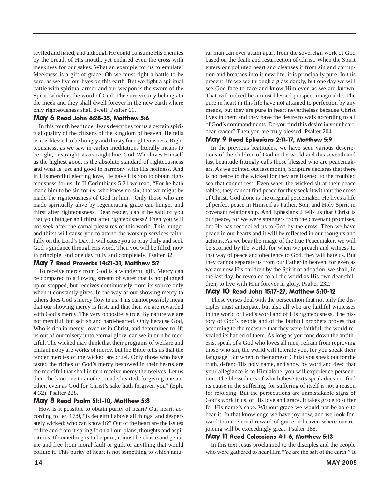reviled and hated, and although He could consume His enemies by the breath of His mouth, yet endured even the cross with meekness for our sakes. What an example for us to emulate! Meekness is a gift of grace. Oh we must fight a battle to be sure, as we live our lives on this earth. But we fight a spiritual battle with spiritual armor and our weapon is the sword of the Spirit, which is the word of God. The sure victory belongs to the meek and they shall dwell forever in the new earth where only righteousness shall dwell. Psalter 61.

#### May 6 Read John 6:28-35, Matthew 5:6

In this fourth beatitude, Jesus describes for us a certain spiritual quality of the citizens of the kingdom of heaven. He tells us it is blessed to be hungry and thirsty for righteousness. Righteousness, as we saw in earlier meditations literally means to be right, or straight, as a straight line. God, Who loves Himself as the highest good, is the absolute standard of righteousness and what is just and good in harmony with His holiness. And in His merciful electing love, He gave His Son to obtain righteousness for us. In II Corinthians 5:21 we read, "For he hath made him to be sin for us, who knew no sin; that we might be made the righteousness of God in him." Only those who are made spiritually alive by regenerating grace can hunger and thirst after righteousness. Dear reader, can it be said of you that you hunger and thirst after righteousness? Then you will not seek after the carnal pleasures of this world. This hunger and thirst will cause you to attend the worship services faithfully on the Lord's Day. It will cause you to pray daily and seek God's guidance through His word. Then you will be filled, now in principle, and one day fully and completely. Psalter 32.

#### May 7 Read Proverbs 14:21-31, Matthew 5:7

To receive mercy from God is a wonderful gift. Mercy can be compared to a flowing stream of water that is not plugged up or stopped, but receives continuously from its source only when it constantly gives. In the way of our showing mercy to others does God's mercy flow to us. This cannot possibly mean that our showing mercy is first, and that then we are rewarded with God's mercy. The very opposite is true. By nature we are not merciful, but selfish and hard-hearted. Only because God, Who is rich in mercy, loved us in Christ, and determined to lift us out of our misery unto eternal glory, can we in turn be merciful. The wicked may think that their programs of welfare and philanthropy are works of mercy, but the Bible tells us that the tender mercies of the wicked are cruel. Only those who have tasted the riches of God's mercy bestowed in their hearts are the merciful that shall in turn receive mercy themselves. Let us then "be kind one to another, tenderhearted, forgiving one another, even as God for Christ's sake hath forgiven you" (Eph. 4:32). Psalter 228.

#### May 8 Read Psalm 51:1-10, Matthew 5:8

How is it possible to obtain purity of heart? Our heart, according to Jer. 17:9, "is deceitful above all things, and desperately wicked; who can know it?" Out of the heart are the issues of life and from it spring forth all our plans, thoughts and aspirations. If something is to be pure, it must be chaste and genuine and free from moral fault or guilt or anything that would pollute it. This purity of heart is not something to which natural man can ever attain apart from the sovereign work of God based on the death and resurrection of Christ. When the Spirit enters our polluted heart and cleanses it from sin and corruption and breathes into it new life, it is principally pure. In this present life we see through a glass darkly, but one day we will see God face to face and know Him even as we are known. That will indeed be a most blessed prospect imaginable. The pure in heart in this life have not attained to perfection by any means, but they are pure in heart nevertheless because Christ lives in them and they have the desire to walk according to all of God's commandments. Do you find this desire in your heart, dear reader? Then you are truly blessed. Psalter 204

#### May 9 Read Ephesians 2:11-17, Matthew 5:9

In the previous beatitudes, we have seen various descriptions of the children of God in the world and this seventh and last beatitude fittingly calls those blessed who are peacemakers. As we pointed out last month, Scripture declares that there is no peace to the wicked for they are likened to the troubled sea that cannot rest. Even when the wicked sit at their peace tables, they cannot find peace for they seek it without the cross of Christ. God alone is the original peacemaker. He lives a life of perfect peace in Himself as Father, Son, and Holy Spirit in covenant relationship. And Ephesians 2 tells us that Christ is our peace, for we were strangers from the covenant promises, but He has reconciled us to God by the cross. Then we have peace in our hearts and it will be reflected in our thoughts and actions. As we bear the image of the true Peacemaker, we will be scorned by the world, for when we preach and witness to that way of peace and obedience to God, they will hate us. But they cannot separate us from our Father in heaven, for even as we are now His children by the Spirit of adoption, we shall, in the last day, be revealed to all the world as His own dear children, to live with Him forever in glory. Psalter 232.

#### May 10 Read John 15:17-27, Matthew 5:10-12

These verses deal with the persecution that not only the disciples must anticipate, but also all who are faithful witnesses in the world of God's word and of His righteousness. The history of God's people and of the faithful prophets proves that according to the measure that they were faithful, the world revealed its hatred of them. As long as you tone down the antithesis, speak of a God who loves all men, refrain from reproving those who sin, the world will tolerate you, for you speak their language. But when in the name of Christ you speak out for the truth, defend His holy name, and show by word and deed that your allegiance is to Him alone, you will experience persecution. The blessedness of which these texts speak does not find its cause in the suffering, for suffering of itself is not a reason for rejoicing. But the persecutions are unmistakable signs of God's work in us, of His love and grace. It takes grace to suffer for His name's sake. Without grace we would not be able to bear it. In that knowledge we have joy now, and we look forward to our eternal reward of grace in heaven where our rejoicing will be exceedingly great. Psalter 188.

#### May 11 Read Colossians 4:1-6, Matthew 5:13

In this text Jesus proclaimed to the disciples and the people who were gathered to hear Him "Ye are the salt of the earth." It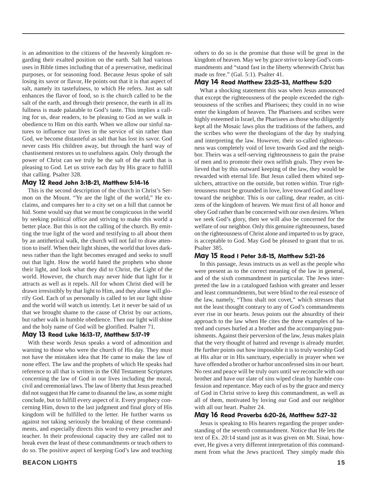is an admonition to the citizens of the heavenly kingdom regarding their exalted position on the earth. Salt had various uses in Bible times including that of a preservative, medicinal purposes, or for seasoning food. Because Jesus spoke of salt losing its savor or flavor, He points out that it is that aspect of salt, namely its tastefulness, to which He refers. Just as salt enhances the flavor of food, so is the church called to be the salt of the earth, and through their presence, the earth in all its fullness is made palatable to God's taste. This implies a calling for us, dear readers, to be pleasing to God as we walk in obedience to Him on this earth. When we allow our sinful natures to influence our lives in the service of sin rather than God, we become distasteful as salt that has lost its savor. God never casts His children away, but through the hard way of chastisement restores us to usefulness again. Only through the power of Christ can we truly be the salt of the earth that is pleasing to God. Let us strive each day by His grace to fulfill that calling. Psalter 328.

#### May 12 Read John 3:18-21, Matthew 5:14-16

This is the second description of the church in Christ's Sermon on the Mount. "Ye are the light of the world," He exclaims, and compares her to a city set on a hill that cannot be hid. Some would say that we must be conspicuous in the world by seeking political office and striving to make this world a better place. But this is not the calling of the church. By emitting the true light of the word and testifying to all about them by an antithetical walk, the church will not fail to draw attention to itself. When their light shines, the world that loves darkness rather than the light becomes enraged and seeks to snuff out that light. How the world hated the prophets who shone their light, and look what they did to Christ, the Light of the world. However, the church may never hide that light for it attracts as well as it repels. All for whom Christ died will be drawn irresistibly by that light to Him, and they alone will glorify God. Each of us personally is called to let our light shine and the world will watch us intently. Let it never be said of us that we brought shame to the cause of Christ by our actions, but rather walk in humble obedience. Then our light will shine and the holy name of God will be glorified. Psalter 71.

#### May 13 Read Luke 16:13-17, Matthew 5:17-19

With these words Jesus speaks a word of admonition and warning to those who were the church of His day. They must not have the mistaken idea that He came to make the law of none effect. The law and the prophets of which He speaks had reference to all that is written in the Old Testament Scriptures concerning the law of God in our lives including the moral, civil and ceremonial laws. The law of liberty that Jesus preached did not suggest that He came to disannul the law, as some might conclude, but to fulfill every aspect of it. Every prophecy concerning Him, down to the last judgment and final glory of His kingdom will be fulfilled to the letter. He further warns us against not taking seriously the breaking of these commandments, and especially directs this word to every preacher and teacher. In their professional capacity they are called not to break even the least of these commandments or teach others to do so. The positive aspect of keeping God's law and teaching

others to do so is the promise that those will be great in the kingdom of heaven. May we by grace strive to keep God's commandments and "stand fast in the liberty wherewith Christ has made us free." (Gal. 5:1). Psalter 41.

#### May 14 Read Matthew 23:25-33, Matthew 5:20

What a shocking statement this was when Jesus announced that except the righteousness of the people exceeded the righteousness of the scribes and Pharisees; they could in no wise enter the kingdom of heaven. The Pharisees and scribes were highly esteemed in Israel, the Pharisees as those who diligently kept all the Mosaic laws plus the traditions of the fathers, and the scribes who were the theologians of the day by studying and interpreting the law. However, their so-called righteousness was completely void of love towards God and the neighbor. Theirs was a self-serving righteousness to gain the praise of men and to promote their own selfish goals. They even believed that by this outward keeping of the law, they would be rewarded with eternal life. But Jesus called them whited sepulchers, attractive on the outside, but rotten within. True righteousness must be grounded in love, love toward God and love toward the neighbor. This is our calling, dear reader, as citizens of the kingdom of heaven. We must first of all honor and obey God rather than be concerned with our own desires. When we seek God's glory, then we will also be concerned for the welfare of our neighbor. Only this genuine righteousness, based on the righteousness of Christ alone and imparted to us by grace, is acceptable to God. May God be pleased to grant that to us. Psalter 385.

#### May 15 Read I Peter 3:8-15, Matthew 5:21-26

In this passage, Jesus instructs us as well as the people who were present as to the correct meaning of the law in general, and of the sixth commandment in particular. The Jews interpreted the law in a catalogued fashion with greater and lesser and least commandments, but were blind to the real essence of the law, namely, "Thou shalt not covet," which stresses that not the least thought contrary to any of God's commandments ever rise in our hearts. Jesus points out the absurdity of their approach to the law when He cites the three examples of hatred and curses hurled at a brother and the accompanying punishments. Against their perversion of the law, Jesus makes plain that the very thought of hatred and revenge is already murder. He further points out how impossible it is to truly worship God at His altar or in His sanctuary, especially in prayer when we have offended a brother or harbor unconfessed sins in our heart. No rest and peace will be truly ours until we reconcile with our brother and have our slate of sins wiped clean by humble confession and repentance. May each of us by the grace and mercy of God in Christ strive to keep this commandment, as well as all of them, motivated by loving our God and our neighbor with all our heart. Psalter 24.

#### May 16 Read Proverbs 6:20-26, Matthew 5:27-32

Jesus is speaking to His hearers regarding the proper understanding of the seventh commandment. Notice that He lets the text of Ex. 20:14 stand just as it was given on Mt. Sinai, however, He gives a very different interpretation of this commandment from what the Jews practiced. They simply made this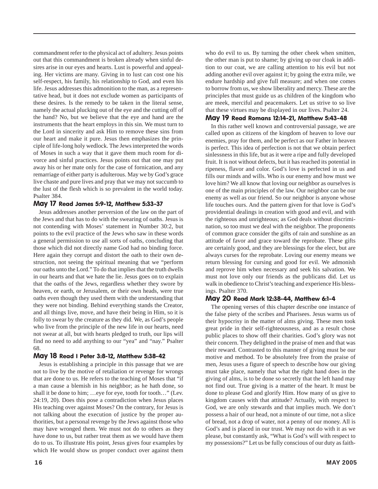commandment refer to the physical act of adultery. Jesus points out that this commandment is broken already when sinful desires arise in our eyes and hearts. Lust is powerful and appealing. Her victims are many. Giving in to lust can cost one his self-respect, his family, his relationship to God, and even his life. Jesus addresses this admonition to the man, as a representative head, but it does not exclude women as participants of these desires. Is the remedy to be taken in the literal sense, namely the actual plucking out of the eye and the cutting off of the hand? No, but we believe that the eye and hand are the instruments that the heart employs in this sin. We must turn to the Lord in sincerity and ask Him to remove these sins from our heart and make it pure. Jesus then emphasizes the principle of life-long holy wedlock. The Jews interpreted the words of Moses in such a way that it gave them much room for divorce and sinful practices. Jesus points out that one may put away his or her mate only for the case of fornication, and any remarriage of either party is adulterous. May we by God's grace live chaste and pure lives and pray that we may not succumb to the lust of the flesh which is so prevalent in the world today. Psalter 384.

#### May 17 Read James 5:9-12, Matthew 5:33-37

Jesus addresses another perversion of the law on the part of the Jews and that has to do with the swearing of oaths. Jesus is not contending with Moses' statement in Number 30:2, but points to the evil practice of the Jews who saw in these words a general permission to use all sorts of oaths, concluding that those which did not directly name God had no binding force. Here again they corrupt and distort the oath to their own destruction, not seeing the spiritual meaning that we "perform our oaths unto the Lord." To do that implies that the truth dwells in our hearts and that we hate the lie. Jesus goes on to explain that the oaths of the Jews, regardless whether they swore by heaven, or earth, or Jerusalem, or their own heads, were true oaths even though they used them with the understanding that they were not binding. Behind everything stands the Creator, and all things live, move, and have their being in Him, so it is folly to swear by the creature as they did. We, as God's people who live from the principle of the new life in our hearts, need not swear at all, but with hearts pledged to truth, our lips will find no need to add anything to our "yea" and "nay." Psalter 68.

#### May 18 Read I Peter 3:8-12, Matthew 5:38-42

Jesus is establishing a principle in this passage that we are not to live by the motive of retaliation or revenge for wrongs that are done to us. He refers to the teaching of Moses that "if a man cause a blemish in his neighbor; as he hath done, so shall it be done to him; …eye for eye, tooth for tooth…" (Lev. 24:19, 20). Does this pose a contradiction when Jesus places His teaching over against Moses? On the contrary, for Jesus is not talking about the execution of justice by the proper authorities, but a personal revenge by the Jews against those who may have wronged them. We must not do to others as they have done to us, but rather treat them as we would have them do to us. To illustrate His point, Jesus gives four examples by which He would show us proper conduct over against them

who do evil to us. By turning the other cheek when smitten, the other man is put to shame; by giving up our cloak in addition to our coat, we are calling attention to his evil but not adding another evil over against it; by going the extra mile, we endure hardship and give full measure; and when one comes to borrow from us, we show liberality and mercy. These are the principles that must guide us as children of the kingdom who are meek, merciful and peacemakers. Let us strive to so live that these virtues may be displayed in our lives. Psalter 24.

#### May 19 Read Romans 12:14-21, Matthew 5:43-48

In this rather well known and controversial passage, we are called upon as citizens of the kingdom of heaven to love our enemies, pray for them, and be perfect as our Father in heaven is perfect. This idea of perfection is not that we obtain perfect sinlessness in this life, but as it were a ripe and fully developed fruit. It is not without defects, but it has reached its potential in ripeness, flavor and color. God's love is perfected in us and fills our minds and wills. Who is our enemy and how must we love him? We all know that loving our neighbor as ourselves is one of the main principles of the law. Our neighbor can be our enemy as well as our friend. So our neighbor is anyone whose life touches ours. And the pattern given for that love is God's providential dealings in creation with good and evil, and with the righteous and unrighteous; as God deals without discrimination, so too must we deal with the neighbor. The proponents of common grace consider the gifts of rain and sunshine as an attitude of favor and grace toward the reprobate. These gifts are certainly good, and they are blessings for the elect, but are always curses for the reprobate. Loving our enemy means we return blessing for cursing and good for evil. We admonish and reprove him when necessary and seek his salvation. We must not love only our friends as the publicans did. Let us walk in obedience to Christ's teaching and experience His blessings. Psalter 370.

#### May 20 Read Mark 12:38-44, Matthew 6:1-4

The opening verses of this chapter describe one instance of the false piety of the scribes and Pharisees. Jesus warns us of their hypocrisy in the matter of alms giving. These men took great pride in their self-righteousness, and as a result chose public places to show off their charities. God's glory was not their concern. They delighted in the praise of men and that was their reward. Contrasted to this manner of giving must be our motive and method. To be absolutely free from the praise of men, Jesus uses a figure of speech to describe how our giving must take place, namely that what the right hand does in the giving of alms, is to be done so secretly that the left hand may not find out. True giving is a matter of the heart. It must be done to please God and glorify Him. How many of us give to kingdom causes with that attitude? Actually, with respect to God, we are only stewards and that implies much. We don't possess a hair of our head, not a minute of our time, not a slice of bread, not a drop of water, not a penny of our money. All is God's and is placed in our trust. We may not do with it as we please, but constantly ask, "What is God's will with respect to my possessions?" Let us be fully conscious of our duty as faith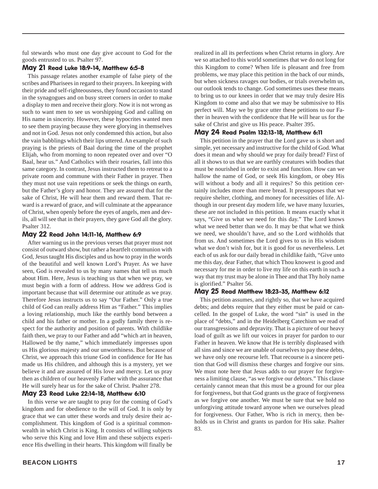ful stewards who must one day give account to God for the goods entrusted to us. Psalter 97.

#### May 21 Read Luke 18:9-14, Matthew 6:5-8

This passage relates another example of false piety of the scribes and Pharisees in regard to their prayers. In keeping with their pride and self-righteousness, they found occasion to stand in the synagogues and on busy street corners in order to make a display to men and receive their glory. Now it is not wrong as such to want men to see us worshipping God and calling on His name in sincerity. However, these hypocrites wanted men to see them praying because they were glorying in themselves and not in God. Jesus not only condemned this action, but also the vain babblings which their lips uttered. An example of such praying is the priests of Baal during the time of the prophet Elijah, who from morning to noon repeated over and over "O Baal, hear us." And Catholics with their rosaries, fall into this same category. In contrast, Jesus instructed them to retreat to a private room and commune with their Father in prayer. Then they must not use vain repetitions or seek the things on earth, but the Father's glory and honor. They are assured that for the sake of Christ, He will hear them and reward them. That reward is a reward of grace, and will culminate at the appearance of Christ, when openly before the eyes of angels, men and devils, all will see that in their prayers, they gave God all the glory. Psalter 312.

#### May 22 Read John 14:11-16, Matthew 6:9

After warning us in the previous verses that prayer must not consist of outward show, but rather a heartfelt communion with God, Jesus taught His disciples and us how to pray in the words of the beautiful and well known Lord's Prayer. As we have seen, God is revealed to us by many names that tell us much about Him. Here, Jesus is teaching us that when we pray, we must begin with a form of address. How we address God is important because that will determine our attitude as we pray. Therefore Jesus instructs us to say "Our Father." Only a true child of God can really address Him as "Father." This implies a loving relationship, much like the earthly bond between a child and his father or mother. In a godly family there is respect for the authority and position of parents. With childlike faith then, we pray to our Father and add "which art in heaven, Hallowed be thy name," which immediately impresses upon us His glorious majesty and our unworthiness. But because of Christ, we approach this triune God in confidence for He has made us His children, and although this is a mystery, yet we believe it and are assured of His love and mercy. Let us pray then as children of our heavenly Father with the assurance that He will surely hear us for the sake of Christ. Psalter 278.

#### May 23 Read Luke 22:14-18, Matthew 6:10

In this verse we are taught to pray for the coming of God's kingdom and for obedience to the will of God. It is only by grace that we can utter these words and truly desire their accomplishment. This kingdom of God is a spiritual commonwealth in which Christ is King. It consists of willing subjects who serve this King and love Him and these subjects experience His dwelling in their hearts. This kingdom will finally be

realized in all its perfections when Christ returns in glory. Are we so attached to this world sometimes that we do not long for this Kingdom to come? When life is pleasant and free from problems, we may place this petition in the back of our minds, but when sickness ravages our bodies, or trials overwhelm us, our outlook tends to change. God sometimes uses these means to bring us to our knees in order that we may truly desire His Kingdom to come and also that we may be submissive to His perfect will. May we by grace utter these petitions to our Father in heaven with the confidence that He will hear us for the sake of Christ and give us His peace. Psalter 395.

#### May 24 Read Psalm 132:13-18, Matthew 6:11

This petition in the prayer that the Lord gave us is short and simple, yet necessary and instructive for the child of God. What does it mean and why should we pray for daily bread? First of all it shows to us that we are earthly creatures with bodies that must be nourished in order to exist and function. How can we hallow the name of God, or seek His kingdom, or obey His will without a body and all it requires? So this petition certainly includes more than mere bread. It presupposes that we require shelter, clothing, and money for necessities of life. Although in our present day modern life, we have many luxuries, these are not included in this petition. It means exactly what it says, "Give us what we need for this day." The Lord knows what we need better than we do. It may be that what we think we need, we shouldn't have, and so the Lord withholds that from us. And sometimes the Lord gives to us in His wisdom what we don't wish for, but it is good for us nevertheless. Let each of us ask for our daily bread in childlike faith, "Give unto me this day, dear Father, that which Thou knowest is good and necessary for me in order to live my life on this earth in such a way that my trust may be alone in Thee and that Thy holy name is glorified." Psalter 56.

#### May 25 Read Matthew 18:23-35, Matthew 6:12

This petition assumes, and rightly so, that we have acquired debts; and debts require that they either must be paid or cancelled. In the gospel of Luke, the word "sin" is used in the place of "debts," and in the Heidelberg Catechism we read of our transgressions and depravity. That is a picture of our heavy load of guilt as we lift our voices in prayer for pardon to our Father in heaven. We know that He is terribly displeased with all sins and since we are unable of ourselves to pay these debts, we have only one recourse left. That recourse is a sincere petition that God will dismiss these charges and forgive our sins. We must note here that Jesus adds to our prayer for forgiveness a limiting clause, "as we forgive our debtors." This clause certainly cannot mean that this must be a ground for our plea for forgiveness, but that God grants us the grace of forgiveness as we forgive one another. We must be sure that we hold no unforgiving attitude toward anyone when we ourselves plead for forgiveness. Our Father, Who is rich in mercy, then beholds us in Christ and grants us pardon for His sake. Psalter 83.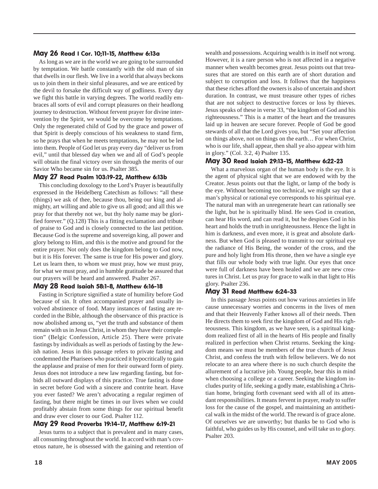#### May 26 Read I Cor. 10;11-15, Matthew 6:13a

As long as we are in the world we are going to be surrounded by temptation. We battle constantly with the old man of sin that dwells in our flesh. We live in a world that always beckons us to join them in their sinful pleasures, and we are enticed by the devil to forsake the difficult way of godliness. Every day we fight this battle in varying degrees. The world readily embraces all sorts of evil and corrupt pleasures on their headlong journey to destruction. Without fervent prayer for divine intervention by the Spirit, we would be overcome by temptations. Only the regenerated child of God by the grace and power of that Spirit is deeply conscious of his weakness to stand firm, so he prays that when he meets temptations, he may not be led into them. People of God let us pray every day "deliver us from evil," until that blessed day when we and all of God's people will obtain the final victory over sin through the merits of our Savior Who became sin for us. Psalter 385.

#### May 27 Read Psalm 103:19-22, Matthew 6:13b

This concluding doxology to the Lord's Prayer is beautifully expressed in the Heidelberg Catechism as follows: "all these (things) we ask of thee, because thou, being our king and almighty, art willing and able to give us all good; and all this we pray for that thereby not we, but thy holy name may be glorified forever." (Q.128) This is a fitting exclamation and tribute of praise to God and is closely connected to the last petition. Because God is the supreme and sovereign king, all power and glory belong to Him, and this is the motive and ground for the entire prayer. Not only does the kingdom belong to God now, but it is His forever. The same is true for His power and glory. Let us learn then, to whom we must pray, how we must pray, for what we must pray, and in humble gratitude be assured that our prayers will be heard and answered. Psalter 267.

#### May 28 Read Isaiah 58:1-8, Matthew 6:16-18

Fasting in Scripture signified a state of humility before God because of sin. It often accompanied prayer and usually involved abstinence of food. Many instances of fasting are recorded in the Bible, although the observance of this practice is now abolished among us, "yet the truth and substance of them remain with us in Jesus Christ, in whom they have their completion" (Belgic Confession, Article 25). There were private fastings by individuals as well as periods of fasting by the Jewish nation. Jesus in this passage refers to private fasting and condemned the Pharisees who practiced it hypocritically to gain the applause and praise of men for their outward form of piety. Jesus does not introduce a new law regarding fasting, but forbids all outward displays of this practice. True fasting is done in secret before God with a sincere and contrite heart. Have you ever fasted? We aren't advocating a regular regimen of fasting, but there might be times in our lives when we could profitably abstain from some things for our spiritual benefit and draw ever closer to our God. Psalter 112.

#### May 29 Read Proverbs 19:14-17, Matthew 6:19-21

Jesus turns to a subject that is prevalent and in many cases, all consuming throughout the world. In accord with man's covetous nature, he is obsessed with the gaining and retention of wealth and possessions. Acquiring wealth is in itself not wrong. However, it is a rare person who is not affected in a negative manner when wealth becomes great. Jesus points out that treasures that are stored on this earth are of short duration and subject to corruption and loss. It follows that the happiness that these riches afford the owners is also of uncertain and short duration. In contrast, we must treasure other types of riches that are not subject to destructive forces or loss by thieves. Jesus speaks of these in verse 33, "the kingdom of God and his righteousness." This is a matter of the heart and the treasures laid up in heaven are secure forever. People of God be good stewards of all that the Lord gives you, but "Set your affection on things above, not on things on the earth… For when Christ, who is our life, shall appear, then shall ye also appear with him in glory." (Col. 3:2, 4) Psalter 135.

#### May 30 Read Isaiah 29:13-15, Matthew 6:22-23

What a marvelous organ of the human body is the eye. It is the agent of physical sight that we are endowed with by the Creator. Jesus points out that the light, or lamp of the body is the eye. Without becoming too technical, we might say that a man's physical or rational eye corresponds to his spiritual eye. The natural man with an unregenerate heart can rationally see the light, but he is spiritually blind. He sees God in creation, can hear His word, and can read it, but he despises God in his heart and holds the truth in unrighteousness. Hence the light in him is darkness, and even more, it is great and absolute darkness. But when God is pleased to transmit to our spiritual eye the radiance of His Being, the wonder of the cross, and the pure and holy light from His throne, then we have a single eye that fills our whole body with true light. Our eyes that once were full of darkness have been healed and we are new creatures in Christ. Let us pray for grace to walk in that light to His glory. Psalter 236.

#### May 31 Read Matthew 6:24-33

In this passage Jesus points out how various anxieties in life cause unnecessary worries and concerns in the lives of men and that their Heavenly Father knows all of their needs. Then He directs them to seek first the kingdom of God and His righteousness. This kingdom, as we have seen, is a spiritual kingdom realized first of all in the hearts of His people and finally realized in perfection when Christ returns. Seeking the kingdom means we must be members of the true church of Jesus Christ, and confess the truth with fellow believers. We do not relocate to an area where there is no such church despite the allurement of a lucrative job. Young people, bear this in mind when choosing a college or a career. Seeking the kingdom includes purity of life, seeking a godly mate, establishing a Christian home, bringing forth covenant seed with all of its attendant responsibilities. It means fervent in prayer, ready to suffer loss for the cause of the gospel, and maintaining an antithetical walk in the midst of the world. The reward is of grace alone. Of ourselves we are unworthy; but thanks be to God who is faithful, who guides us by His counsel, and will take us to glory. Psalter 203.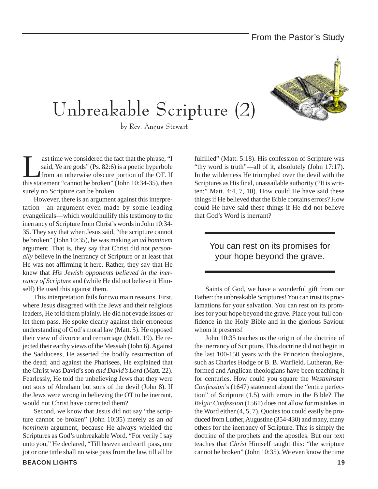## Unbreakable Scripture (2)



by Rev. Angus Stewart

ast time we considered the fact that the phrase, "I<br>said, Ye are gods" (Ps. 82:6) is a poetic hyperbole<br>from an otherwise obscure portion of the OT. If<br>this statement "cannot be broken" (John  $10:34-35$ ), then said, Ye are gods" (Ps. 82:6) is a poetic hyperbole from an otherwise obscure portion of the OT. If this statement "cannot be broken" (John 10:34-35), then surely no Scripture can be broken.

However, there is an argument against this interpretation—an argument even made by some leading evangelicals—which would nullify this testimony to the inerrancy of Scripture from Christ's words in John 10:34- 35. They say that when Jesus said, "the scripture cannot be broken" (John 10:35), he was making an *ad hominem* argument. That is, they say that Christ did not *personally* believe in the inerrancy of Scripture or at least that He was not affirming it here. Rather, they say that He knew that *His Jewish opponents believed in the inerrancy of Scripture* and (while He did not believe it Himself) He used this against them.

This interpretation fails for two main reasons. First, where Jesus disagreed with the Jews and their religious leaders, He told them plainly. He did not evade issues or let them pass. He spoke clearly against their erroneous understanding of God's moral law (Matt. 5). He opposed their view of divorce and remarriage (Matt. 19). He rejected their earthy views of the Messiah (John 6). Against the Sadducees, He asserted the bodily resurrection of the dead; and against the Pharisees, He explained that the Christ was David's son *and David's Lord* (Matt. 22). Fearlessly, He told the unbelieving Jews that they were not sons of Abraham but sons of the devil (John 8). If the Jews were wrong in believing the OT to be inerrant, would not Christ have corrected them?

Second, we know that Jesus did not say "the scripture cannot be broken" (John 10:35) merely as an *ad hominem* argument, because He always wielded the Scriptures as God's unbreakable Word. "For verily I say unto you," He declared, "Till heaven and earth pass, one jot or one tittle shall no wise pass from the law, till all be

**BEACON LIGHTS 19**

fulfilled" (Matt. 5:18). His confession of Scripture was "thy word is truth"—all of it, absolutely (John 17:17). In the wilderness He triumphed over the devil with the Scriptures as His final, unassailable authority ("It is written;" Matt. 4:4, 7, 10). How could He have said these things if He believed that the Bible contains errors? How could He have said these things if He did not believe that God's Word is inerrant?

#### You can rest on its promises for your hope beyond the grave.

Saints of God, we have a wonderful gift from our Father: the unbreakable Scriptures! You can trust its proclamations for your salvation. You can rest on its promises for your hope beyond the grave. Place your full confidence in the Holy Bible and in the glorious Saviour whom it presents!

John 10:35 teaches us the origin of the doctrine of the inerrancy of Scripture. This doctrine did not begin in the last 100-150 years with the Princeton theologians, such as Charles Hodge or B. B. Warfield. Lutheran, Reformed and Anglican theologians have been teaching it for centuries. How could you square the *Westminster Confession*'s (1647) statement about the "entire perfection" of Scripture (1.5) with errors in the Bible? The *Belgic Confession* (1561) does not allow for mistakes in the Word either (4, 5, 7). Quotes too could easily be produced from Luther, Augustine (354-430) and many, many others for the inerrancy of Scripture. This is simply the doctrine of the prophets and the apostles. But our text teaches that *Christ* Himself taught this: "the scripture cannot be broken" (John 10:35). We even know the time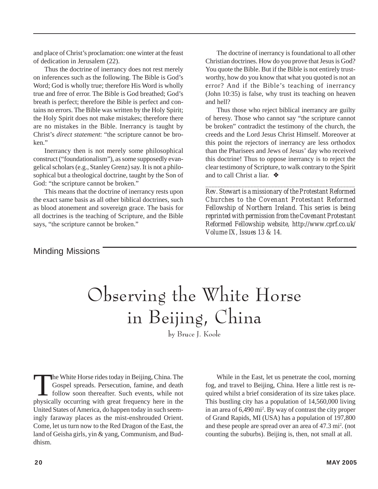and place of Christ's proclamation: one winter at the feast of dedication in Jerusalem (22).

Thus the doctrine of inerrancy does not rest merely on inferences such as the following. The Bible is God's Word; God is wholly true; therefore His Word is wholly true and free of error. The Bible is God breathed; God's breath is perfect; therefore the Bible is perfect and contains no errors. The Bible was written by the Holy Spirit; the Holy Spirit does not make mistakes; therefore there are no mistakes in the Bible. Inerrancy is taught by Christ's *direct statement*: "the scripture cannot be broken"

Inerrancy then is not merely some philosophical construct ("foundationalism"), as some supposedly evangelical scholars (e.g., Stanley Grenz) say. It is not a philosophical but a theological doctrine, taught by the Son of God: "the scripture cannot be broken."

This means that the doctrine of inerrancy rests upon the exact same basis as all other biblical doctrines, such as blood atonement and sovereign grace. The basis for all doctrines is the teaching of Scripture, and the Bible says, "the scripture cannot be broken."

The doctrine of inerrancy is foundational to all other Christian doctrines. How do you prove that Jesus is God? You quote the Bible. But if the Bible is not entirely trustworthy, how do you know that what you quoted is not an error? And if the Bible's teaching of inerrancy (John 10:35) is false, why trust its teaching on heaven and hell?

Thus those who reject biblical inerrancy are guilty of heresy. Those who cannot say "the scripture cannot be broken" contradict the testimony of the church, the creeds and the Lord Jesus Christ Himself. Moreover at this point the rejectors of inerrancy are less orthodox than the Pharisees and Jews of Jesus' day who received this doctrine! Thus to oppose inerrancy is to reject the clear testimony of Scripture, to walk contrary to the Spirit and to call Christ a liar. ❖

*Rev. Stewart is a missionary of the Protestant Reformed Churches to the Covenant Protestant Reformed Fellowship of Northern Ireland. This series is being reprinted with permission from the Covenant Protestant Reformed Fellowship website, http://www.cprf.co.uk/ Volume IX, Issues 13 & 14.*

*\_\_\_\_\_\_\_\_\_\_\_\_\_\_\_\_\_\_\_\_\_\_\_\_\_\_\_\_\_\_\_\_\_\_\_\_\_\_\_\_\_\_\_\_\_\_\_\_\_\_*

#### Minding Missions

# Observing the White Horse in Beijing, China

by Bruce J. Koole

The White Horse rides today in Beijing, China. The Gospel spreads. Persecution, famine, and death follow soon thereafter. Such events, while not physically occurring with great frequency here in the United States of America, do happen today in such seemingly faraway places as the mist-enshrouded Orient. Come, let us turn now to the Red Dragon of the East, the land of Geisha girls, yin & yang, Communism, and Buddhism.

While in the East, let us penetrate the cool, morning fog, and travel to Beijing, China. Here a little rest is required whilst a brief consideration of its size takes place. This bustling city has a population of 14,560,000 living in an area of 6,490 mi2 . By way of contrast the city proper of Grand Rapids, MI (USA) has a population of 197,800 and these people are spread over an area of 47.3 mi<sup>2</sup>. (not counting the suburbs). Beijing is, then, not small at all.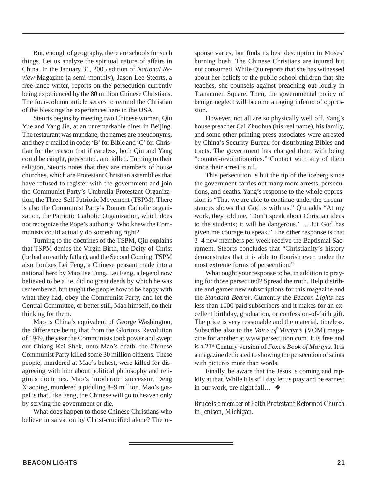But, enough of geography, there are schools for such things. Let us analyze the spiritual nature of affairs in China. In the January 31, 2005 edition of *National Review* Magazine (a semi-monthly), Jason Lee Steorts, a free-lance writer, reports on the persecution currently being experienced by the 80 million Chinese Christians. The four-column article serves to remind the Christian of the blessings he experiences here in the USA.

Steorts begins by meeting two Chinese women, Qiu Yue and Yang Jie, at an unremarkable diner in Beijing. The restaurant was mundane, the names are pseudonyms, and they e-mailed in code: 'B' for Bible and 'C' for Christian for the reason that if careless, both Qiu and Yang could be caught, persecuted, and killed. Turning to their religion, Steorts notes that they are members of house churches, which are Protestant Christian assemblies that have refused to register with the government and join the Communist Party's Umbrella Protestant Organization, the Three-Self Patriotic Movement (TSPM). There is also the Communist Party's Roman Catholic organization, the Patriotic Catholic Organization, which does not recognize the Pope's authority. Who knew the Communists could actually do something right?

Turning to the doctrines of the TSPM, Qiu explains that TSPM denies the Virgin Birth, the Deity of Christ (he had an earthly father), and the Second Coming. TSPM also lionizes Lei Feng, a Chinese peasant made into a national hero by Mao Tse Tung. Lei Feng, a legend now believed to be a lie, did no great deeds by which he was remembered, but taught the people how to be happy with what they had, obey the Communist Party, and let the Central Committee, or better still, Mao himself, do their thinking for them.

Mao is China's equivalent of George Washington, the difference being that from the Glorious Revolution of 1949, the year the Communists took power and swept out Chiang Kai Shek, unto Mao's death, the Chinese Communist Party killed some 30 million citizens. These people, murdered at Mao's behest, were killed for disagreeing with him about political philosophy and religious doctrines. Mao's 'moderate' successor, Deng Xiaoping, murdered a piddling 8–9 million. Mao's gospel is that, like Feng, the Chinese will go to heaven only by serving the government or die.

What does happen to those Chinese Christians who believe in salvation by Christ-crucified alone? The response varies, but finds its best description in Moses' burning bush. The Chinese Christians are injured but not consumed. While Qiu reports that she has witnessed about her beliefs to the public school children that she teaches, she counsels against preaching out loudly in Tiananmen Square. Then, the governmental policy of benign neglect will become a raging inferno of oppression.

However, not all are so physically well off. Yang's house preacher Cai Zhuohua (his real name), his family, and some other printing-press associates were arrested by China's Security Bureau for distributing Bibles and tracts. The government has charged them with being "counter-revolutionaries." Contact with any of them since their arrest is nil.

This persecution is but the tip of the iceberg since the government carries out many more arrests, persecutions, and deaths. Yang's response to the whole oppression is "That we are able to continue under the circumstances shows that God is with us." Qiu adds "At my work, they told me, 'Don't speak about Christian ideas to the students; it will be dangerous.' …But God has given me courage to speak." The other response is that 3–4 new members per week receive the Baptismal Sacrament. Steorts concludes that "Christianity's history demonstrates that it is able to flourish even under the most extreme forms of persecution."

What ought your response to be, in addition to praying for those persecuted? Spread the truth. Help distribute and garner new subscriptions for this magazine and the *Standard Bearer*. Currently the *Beacon Lights* has less than 1000 paid subscribers and it makes for an excellent birthday, graduation, or confession-of-faith gift. The price is very reasonable and the material, timeless. Subscribe also to the *Voice of Martyr's* (VOM) magazine for another at www.persecution.com. It is free and is a 21st Century version of *Foxe's Book of Martyrs*. It is a magazine dedicated to showing the persecution of saints with pictures more than words.

Finally, be aware that the Jesus is coming and rapidly at that. While it is still day let us pray and be earnest in our work, ere night fall… ❖

*\_\_\_\_\_\_\_\_\_\_\_\_\_\_\_\_\_\_\_\_\_\_\_\_\_\_\_\_\_\_\_\_\_\_\_\_\_\_\_\_\_\_\_\_\_\_\_\_\_ Bruce is a member of Faith Protestant Reformed Church in Jenison, Michigan.*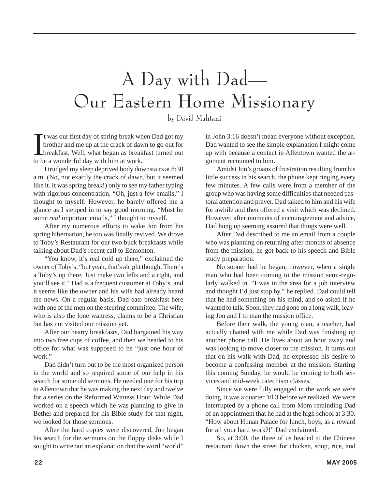# A Day with Dad— Our Eastern Home Missionary

by David Mahtani

It was our first day of spring break wh<br>brother and me up at the crack of day<br>breakfast. Well, what began as break<br>to be a wonderful day with him at work. t was our first day of spring break when Dad got my brother and me up at the crack of dawn to go out for breakfast. Well, what began as breakfast turned out

I trudged my sleep deprived body downstairs at 8:30 a.m. (No, not exactly the crack of dawn, but it seemed like it. It was spring break!) only to see my father typing with rigorous concentration. "Oh, just a few emails," I thought to myself. However, he barely offered me a glance as I stepped in to say good morning. "Must be some *real* important emails," I thought to myself.

After my numerous efforts to wake Jon from his spring hibernation, he too was finally revived. We drove to Toby's Restaurant for our two buck breakfasts while talking about Dad's recent call to Edmonton.

"You know, it's real cold up there," exclaimed the owner of Toby's, "but yeah, that's alright though. There's a Toby's up there. Just make two lefts and a right, and you'll see it." Dad is a frequent customer at Toby's, and it seems like the owner and his wife had already heard the news. On a regular basis, Dad eats breakfast here with one of the men on the steering committee. The wife, who is also the lone waitress, claims to be a Christian but has not visited our mission yet.

After our hearty breakfasts, Dad bargained his way into two free cups of coffee, and then we headed to his office for what was supposed to be "just one hour of work."

Dad didn't turn out to be the most organized person in the world and so required some of our help in his search for some old sermons. He needed one for his trip to Allentown that he was making the next day and twelve for a series on the Reformed Witness Hour. While Dad worked on a speech which he was planning to give in Bethel and prepared for his Bible study for that night, we looked for those sermons.

After the hard copies were discovered, Jon began his search for the sermons on the floppy disks while I sought to write out an explanation that the word "world" in John 3:16 doesn't mean everyone without exception. Dad wanted to see the simple explanation I might come up with because a contact in Allentown wanted the argument recounted to him.

Amidst Jon's groans of frustration resulting from his little success in his search, the phone kept ringing every few minutes. A few calls were from a member of the group who was having some difficulties that needed pastoral attention and prayer. Dad talked to him and his wife for awhile and then offered a visit which was declined. However, after moments of encouragement and advice, Dad hung up seeming assured that things were well.

After Dad described to me an email from a couple who was planning on returning after months of absence from the mission, he got back to his speech and Bible study preparation.

No sooner had he began, however, when a single man who had been coming to the mission semi-regularly walked in. "I was in the area for a job interview and thought I'd just stop by," he replied. Dad could tell that he had something on his mind, and so asked if he wanted to talk. Soon, they had gone on a long walk, leaving Jon and I to man the mission office.

Before their walk, the young man, a teacher, had actually chatted with me while Dad was finishing up another phone call. He lives about an hour away and was looking to move closer to the mission. It turns out that on his walk with Dad, he expressed his desire to become a confessing member at the mission. Starting this coming Sunday, he would be coming to both services and mid-week catechism classes.

Since we were fully engaged in the work we were doing, it was a quarter 'til 3 before we realized. We were interrupted by a phone call from Mom reminding Dad of an appointment that he had at the high school at 3:30. "How about Hunan Palace for lunch, boys, as a reward for all your hard work?!" Dad exclaimed.

So, at 3:00, the three of us headed to the Chinese restaurant down the street for chicken, soup, rice, and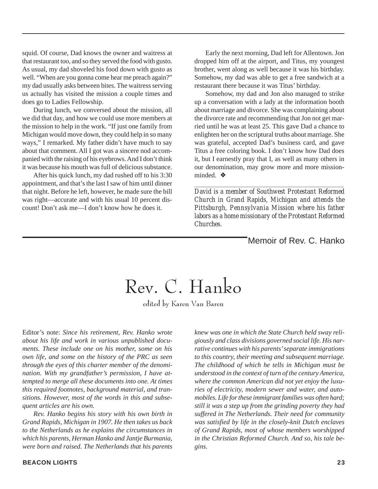squid. Of course, Dad knows the owner and waitress at that restaurant too, and so they served the food with gusto. As usual, my dad shoveled his food down with gusto as well. "When are you gonna come hear me preach again?" my dad usually asks between bites. The waitress serving us actually has visited the mission a couple times and does go to Ladies Fellowship.

During lunch, we conversed about the mission, all we did that day, and how we could use more members at the mission to help in the work. "If just one family from Michigan would move down, they could help in so many ways," I remarked. My father didn't have much to say about that comment. All I got was a sincere nod accompanied with the raising of his eyebrows. And I don't think it was because his mouth was full of delicious substance.

After his quick lunch, my dad rushed off to his 3:30 appointment, and that's the last I saw of him until dinner that night. Before he left, however, he made sure the bill was right—accurate and with his usual 10 percent discount! Don't ask me—I don't know how he does it.

Early the next morning, Dad left for Allentown. Jon dropped him off at the airport, and Titus, my youngest brother, went along as well because it was his birthday. Somehow, my dad was able to get a free sandwich at a restaurant there because it was Titus' birthday.

Somehow, my dad and Jon also managed to strike up a conversation with a lady at the information booth about marriage and divorce. She was complaining about the divorce rate and recommending that Jon not get married until he was at least 25. This gave Dad a chance to enlighten her on the scriptural truths about marriage. She was grateful, accepted Dad's business card, and gave Titus a free coloring book. I don't know how Dad does it, but I earnestly pray that I, as well as many others in our denomination, may grow more and more missionminded. ❖

*David is a member of Southwest Protestant Reformed Church in Grand Rapids, Michigan and attends the Pittsburgh, Pennsylvania Mission where his father labors as a home missionary of the Protestant Reformed Churches.*

*\_\_\_\_\_\_\_\_\_\_\_\_\_\_\_\_\_\_\_\_\_\_\_\_\_\_\_\_\_\_\_\_\_\_\_\_\_\_\_\_\_\_\_\_\_\_\_\_\_\_\_\_\_*

Memoir of Rev. C. Hanko

### Rev. C. Hanko

edited by Karen Van Baren

Editor's note: *Since his retirement, Rev. Hanko wrote about his life and work in various unpublished documents. These include one on his mother, some on his own life, and some on the history of the PRC as seen through the eyes of this charter member of the denomination. With my grandfather's permission, I have attempted to merge all these documents into one. At times this required footnotes, background material, and transitions. However, most of the words in this and subsequent articles are his own.*

*Rev. Hanko begins his story with his own birth in Grand Rapids, Michigan in 1907. He then takes us back to the Netherlands as he explains the circumstances in which his parents, Herman Hanko and Jantje Burmania, were born and raised. The Netherlands that his parents*

*knew was one in which the State Church held sway religiously and class divisions governed social life. His narrative continues with his parents' separate immigrations to this country, their meeting and subsequent marriage. The childhood of which he tells in Michigan must be understood in the context of turn of the century America, where the common American did not yet enjoy the luxuries of electricity, modern sewer and water, and automobiles. Life for these immigrant families was often hard; still it was a step up from the grinding poverty they had suffered in The Netherlands. Their need for community was satisfied by life in the closely-knit Dutch enclaves of Grand Rapids, most of whose members worshipped in the Christian Reformed Church. And so, his tale begins.*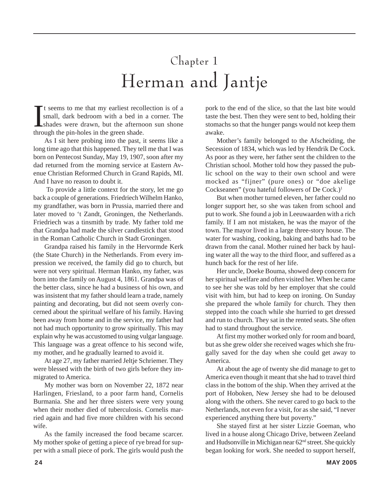### Chapter 1 Herman and Jantje

It seems to me that my earliest recol<br>small, dark bedroom with a bed in<br>shades were drawn, but the afterner<br>through the pin-holes in the green shade. t seems to me that my earliest recollection is of a small, dark bedroom with a bed in a corner. The shades were drawn, but the afternoon sun shone

As I sit here probing into the past, it seems like a long time ago that this happened. They tell me that I was born on Pentecost Sunday, May 19, 1907, soon after my dad returned from the morning service at Eastern Avenue Christian Reformed Church in Grand Rapids, MI. And I have no reason to doubt it.

 To provide a little context for the story, let me go back a couple of generations. Friedriech Wilhelm Hanko, my grandfather, was born in Prussia, married there and later moved to 't Zandt, Groningen, the Netherlands. Friedriech was a tinsmith by trade. My father told me that Grandpa had made the silver candlestick that stood in the Roman Catholic Church in Stadt Groningen.

Grandpa raised his family in the Hervormde Kerk (the State Church) in the Netherlands. From every impression we received, the family did go to church, but were not very spiritual. Herman Hanko, my father, was born into the family on August 4, 1861. Grandpa was of the better class, since he had a business of his own, and was insistent that my father should learn a trade, namely painting and decorating, but did not seem overly concerned about the spiritual welfare of his family. Having been away from home and in the service, my father had not had much opportunity to grow spiritually. This may explain why he was accustomed to using vulgar language. This language was a great offence to his second wife, my mother, and he gradually learned to avoid it.

At age 27, my father married Jeltje Schriemer. They were blessed with the birth of two girls before they immigrated to America.

My mother was born on November 22, 1872 near Harlingen, Friesland, to a poor farm hand, Cornelis Burmania. She and her three sisters were very young when their mother died of tuberculosis. Cornelis married again and had five more children with his second wife.

As the family increased the food became scarcer. My mother spoke of getting a piece of rye bread for supper with a small piece of pork. The girls would push the pork to the end of the slice, so that the last bite would taste the best. Then they were sent to bed, holding their stomachs so that the hunger pangs would not keep them awake.

Mother's family belonged to the Afscheiding, the Secession of 1834, which was led by Hendrik De Cock. As poor as they were, her father sent the children to the Christian school. Mother told how they passed the public school on the way to their own school and were mocked as "fijner" (pure ones) or "doe akelige Cockseanen" (you hateful followers of De Cock.)1

But when mother turned eleven, her father could no longer support her, so she was taken from school and put to work. She found a job in Leeuwaarden with a rich family. If I am not mistaken, he was the mayor of the town. The mayor lived in a large three-story house. The water for washing, cooking, baking and baths had to be drawn from the canal. Mother ruined her back by hauling water all the way to the third floor, and suffered as a hunch back for the rest of her life.

Her uncle, Doeke Bouma, showed deep concern for her spiritual welfare and often visited her. When he came to see her she was told by her employer that she could visit with him, but had to keep on ironing. On Sunday she prepared the whole family for church. They then stepped into the coach while she hurried to get dressed and run to church. They sat in the rented seats. She often had to stand throughout the service.

At first my mother worked only for room and board, but as she grew older she received wages which she frugally saved for the day when she could get away to America.

At about the age of twenty she did manage to get to America even though it meant that she had to travel third class in the bottom of the ship. When they arrived at the port of Hoboken, New Jersey she had to be deloused along with the others. She never cared to go back to the Netherlands, not even for a visit, for as she said, "I never experienced anything there but poverty."

She stayed first at her sister Lizzie Goeman, who lived in a house along Chicago Drive, between Zeeland and Hudsonville in Michigan near 62nd street. She quickly began looking for work. She needed to support herself,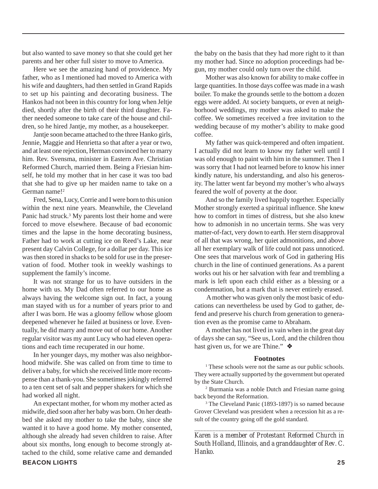but also wanted to save money so that she could get her parents and her other full sister to move to America.

Here we see the amazing hand of providence. My father, who as I mentioned had moved to America with his wife and daughters, had then settled in Grand Rapids to set up his painting and decorating business. The Hankos had not been in this country for long when Jeltje died, shortly after the birth of their third daughter. Father needed someone to take care of the house and children, so he hired Jantje, my mother, as a housekeeper.

Jantje soon became attached to the three Hanko girls, Jennie, Maggie and Henrietta so that after a year or two, and at least one rejection, Herman convinced her to marry him. Rev. Svensma, minister in Eastern Ave. Christian Reformed Church, married them. Being a Friesian himself, he told my mother that in her case it was too bad that she had to give up her maiden name to take on a German name!<sup>2</sup>

Fred, Sena, Lucy, Corrie and I were born to this union within the next nine years. Meanwhile, the Cleveland Panic had struck.<sup>3</sup> My parents lost their home and were forced to move elsewhere. Because of bad economic times and the lapse in the home decorating business, Father had to work at cutting ice on Reed's Lake, near present day Calvin College, for a dollar per day. This ice was then stored in shacks to be sold for use in the preservation of food. Mother took in weekly washings to supplement the family's income.

It was not strange for us to have outsiders in the home with us. My Dad often referred to our home as always having the welcome sign out. In fact, a young man stayed with us for a number of years prior to and after I was born. He was a gloomy fellow whose gloom deepened whenever he failed at business or love. Eventually, he did marry and move out of our home. Another regular visitor was my aunt Lucy who had eleven operations and each time recuperated in our home.

In her younger days, my mother was also neighborhood midwife. She was called on from time to time to deliver a baby, for which she received little more recompense than a thank-you. She sometimes jokingly referred to a ten cent set of salt and pepper shakers for which she had worked all night.

An expectant mother, for whom my mother acted as midwife, died soon after her baby was born. On her deathbed she asked my mother to take the baby, since she wanted it to have a good home. My mother consented, although she already had seven children to raise. After about six months, long enough to become strongly attached to the child, some relative came and demanded

the baby on the basis that they had more right to it than my mother had. Since no adoption proceedings had begun, my mother could only turn over the child.

Mother was also known for ability to make coffee in large quantities. In those days coffee was made in a wash boiler. To make the grounds settle to the bottom a dozen eggs were added. At society banquets, or even at neighborhood weddings, my mother was asked to make the coffee. We sometimes received a free invitation to the wedding because of my mother's ability to make good coffee.

My father was quick-tempered and often impatient. I actually did not learn to know my father well until I was old enough to paint with him in the summer. Then I was sorry that I had not learned before to know his inner kindly nature, his understanding, and also his generosity. The latter went far beyond my mother's who always feared the wolf of poverty at the door.

And so the family lived happily together. Especially Mother strongly exerted a spiritual influence. She knew how to comfort in times of distress, but she also knew how to admonish in no uncertain terms. She was very matter-of-fact, very down to earth. Her stern disapproval of all that was wrong, her quiet admonitions, and above all her exemplary walk of life could not pass unnoticed. One sees that marvelous work of God in gathering His church in the line of continued generations. As a parent works out his or her salvation with fear and trembling a mark is left upon each child either as a blessing or a condemnation, but a mark that is never entirely erased.

 A mother who was given only the most basic of educations can nevertheless be used by God to gather, defend and preserve his church from generation to generation even as the promise came to Abraham.

A mother has not lived in vain when in the great day of days she can say, "See us, Lord, and the children thou hast given us, for we are Thine." ❖

#### **Footnotes**

<sup>1</sup> These schools were not the same as our public schools. They were actually supported by the government but operated by the State Church.

2 Burmania was a noble Dutch and Friesian name going back beyond the Reformation.

<sup>3</sup> The Cleveland Panic (1893-1897) is so named because Grover Cleveland was president when a recession hit as a result of the country going off the gold standard.

*Karen is a member of Protestant Reformed Church in South Holland, Illinois, and a granddaughter of Rev. C. Hanko.*

*\_\_\_\_\_\_\_\_\_\_\_\_\_\_\_\_\_\_\_\_\_\_\_\_\_\_\_\_\_\_\_\_\_\_\_\_\_\_\_\_\_\_\_\_\_\_\_\_\_\_*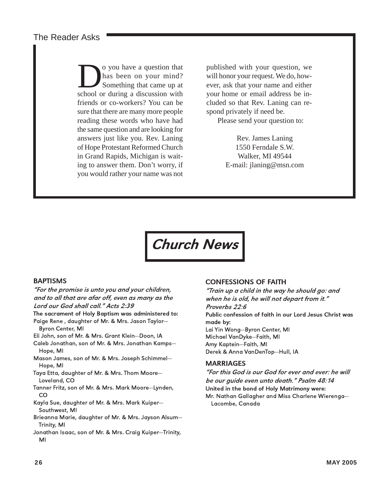The Reader Asks

solon by a question that<br>that been on your mind?<br>Something that came up at<br>school or during a discussion with has been on your mind? Something that came up at school or during a discussion with friends or co-workers? You can be sure that there are many more people reading these words who have had the same question and are looking for answers just like you. Rev. Laning of Hope Protestant Reformed Church in Grand Rapids, Michigan is waiting to answer them. Don't worry, if you would rather your name was not

published with your question, we will honor your request. We do, however, ask that your name and either your home or email address be included so that Rev. Laning can respond privately if need be.

Please send your question to:

Rev. James Laning 1550 Ferndale S.W. Walker, MI 49544 E-mail: jlaning@msn.com

Church News

#### BAPTISMS

"For the promise is unto you and your children, and to all that are afar off, even as many as the Lord our God shall call." Acts 2:39

The sacrament of Holy Baptism was administered to: Paige Rene , daughter of Mr. & Mrs. Jason Taylor—

Byron Center, MI Eli John, son of Mr. & Mrs. Grant Klein—Doon, IA

Caleb Jonathan, son of Mr. & Mrs. Jonathan Kamps—

Hope, MI Mason James, son of Mr. & Mrs. Joseph Schimmel—

Hope, MI Taya Etta, daughter of Mr. & Mrs. Thom Moore— Loveland, CO

- Tanner Fritz, son of Mr. & Mrs. Mark Moore—Lynden, CO
- Kayla Sue, daughter of Mr. & Mrs. Mark Kuiper— Southwest, MI
- Brieanna Marie, daughter of Mr. & Mrs. Jayson Alsum— Trinity, MI
- Jonathan Isaac, son of Mr. & Mrs. Craig Kuiper—Trinity, MI

#### CONFESSIONS OF FAITH

"Train up a child in the way he should go: and when he is old, he will not depart from it." Proverbs 22:6 Public confession of faith in our Lord Jesus Christ was made by: Lai Yin Wong—Byron Center, MI Michael VanDyke—Faith, MI Amy Kaptein—Faith, MI Derek & Anna VanDenTop—Hull, IA

#### **MARRIAGES**

"For this God is our God for ever and ever: he will be our guide even unto death." Psalm 48:14 United in the bond of Holy Matrimony were: Mr. Nathan Gallagher and Miss Charlene Wierenga— Lacombe, Canada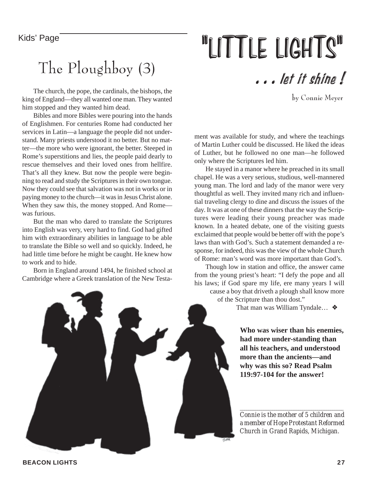#### Kids' Page

### The Ploughboy (3)

The church, the pope, the cardinals, the bishops, the king of England—they all wanted one man. They wanted him stopped and they wanted him dead.

Bibles and more Bibles were pouring into the hands of Englishmen. For centuries Rome had conducted her services in Latin—a language the people did not understand. Many priests understood it no better. But no matter—the more who were ignorant, the better. Steeped in Rome's superstitions and lies, the people paid dearly to rescue themselves and their loved ones from hellfire. That's all they knew. But now the people were beginning to read and study the Scriptures in their own tongue. Now they could see that salvation was not in works or in paying money to the church—it was in Jesus Christ alone. When they saw this, the money stopped. And Rome was furious.

But the man who dared to translate the Scriptures into English was very, very hard to find. God had gifted him with extraordinary abilities in language to be able to translate the Bible so well and so quickly. Indeed, he had little time before he might be caught. He knew how to work and to hide.

Born in England around 1494, he finished school at Cambridge where a Greek translation of the New Testa-

# "LITTLE LIGHTS"

. . . let it shine !

by Connie Meyer

ment was available for study, and where the teachings of Martin Luther could be discussed. He liked the ideas of Luther, but he followed no one man—he followed only where the Scriptures led him.

He stayed in a manor where he preached in its small chapel. He was a very serious, studious, well-mannered young man. The lord and lady of the manor were very thoughtful as well. They invited many rich and influential traveling clergy to dine and discuss the issues of the day. It was at one of these dinners that the way the Scriptures were leading their young preacher was made known. In a heated debate, one of the visiting guests exclaimed that people would be better off with the pope's laws than with God's. Such a statement demanded a response, for indeed, this was the view of the whole Church of Rome: man's word was more important than God's.

Though low in station and office, the answer came from the young priest's heart: "I defy the pope and all his laws; if God spare my life, ere many years I will cause a boy that driveth a plough shall know more

of the Scripture than thou dost."

That man was William Tyndale… ❖

**Who was wiser than his enemies, had more under-standing than all his teachers, and understood more than the ancients—and why was this so? Read Psalm 119:97-104 for the answer!**

*Connie is the mother of 5 children and a member of Hope Protestant Reformed Church in Grand Rapids, Michigan.*

*\_\_\_\_\_\_\_\_\_\_\_\_\_\_\_\_\_\_\_\_\_\_\_\_\_\_\_\_\_\_\_\_\_\_\_\_\_\_\_\_\_\_\_\_\_\_\_\_*



**BEACON LIGHTS 27**